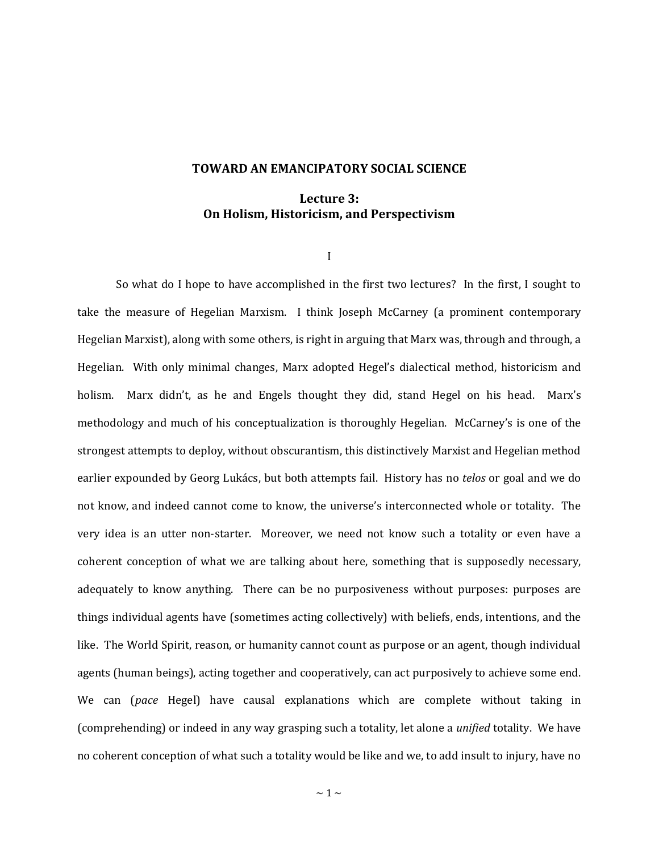### **TOWARD AN EMANCIPATORY SOCIAL SCIENCE**

# **Lecture 3: On Holism, Historicism, and Perspectivism**

I

So what do I hope to have accomplished in the first two lectures? In the first, I sought to take the measure of Hegelian Marxism. I think Joseph McCarney (a prominent contemporary Hegelian Marxist), along with some others, is right in arguing that Marx was, through and through, a Hegelian. With only minimal changes, Marx adopted Hegel's dialectical method, historicism and holism. Marx didn't, as he and Engels thought they did, stand Hegel on his head. Marx's methodology and much of his conceptualization is thoroughly Hegelian. McCarney's is one of the strongest attempts to deploy, without obscurantism, this distinctively Marxist and Hegelian method earlier expounded by Georg Lukács, but both attempts fail. History has no *telos* or goal and we do not know, and indeed cannot come to know, the universe's interconnected whole or totality. The very idea is an utter non-starter. Moreover, we need not know such a totality or even have a coherent conception of what we are talking about here, something that is supposedly necessary, adequately to know anything. There can be no purposiveness without purposes: purposes are things individual agents have (sometimes acting collectively) with beliefs, ends, intentions, and the like. The World Spirit, reason, or humanity cannot count as purpose or an agent, though individual agents (human beings), acting together and cooperatively, can act purposively to achieve some end. We can (*pace* Hegel) have causal explanations which are complete without taking in (comprehending) or indeed in any way grasping such a totality, let alone a *unified* totality. We have no coherent conception of what such a totality would be like and we, to add insult to injury, have no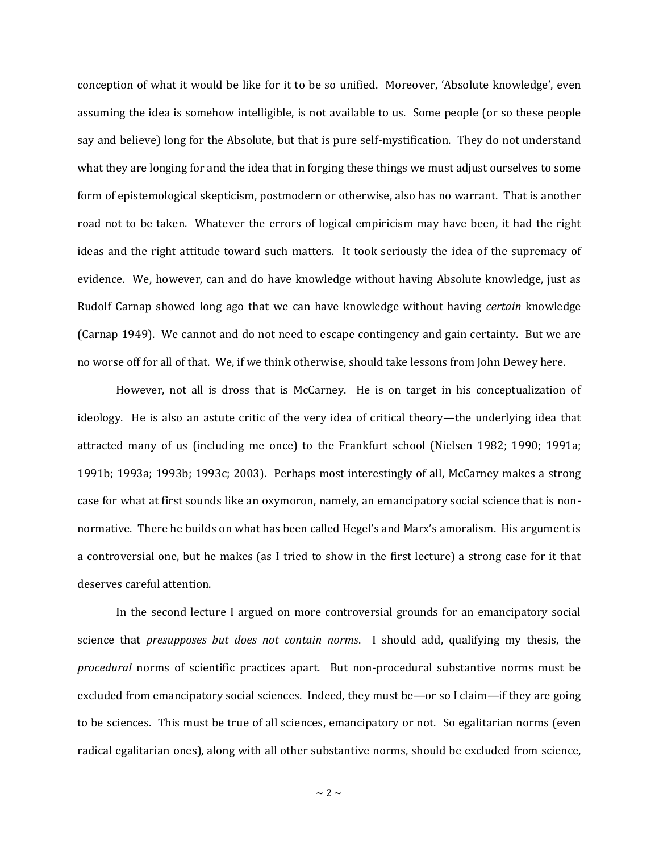conception of what it would be like for it to be so unified. Moreover, 'Absolute knowledge', even assuming the idea is somehow intelligible, is not available to us. Some people (or so these people say and believe) long for the Absolute, but that is pure self-mystification. They do not understand what they are longing for and the idea that in forging these things we must adjust ourselves to some form of epistemological skepticism, postmodern or otherwise, also has no warrant. That is another road not to be taken. Whatever the errors of logical empiricism may have been, it had the right ideas and the right attitude toward such matters. It took seriously the idea of the supremacy of evidence. We, however, can and do have knowledge without having Absolute knowledge, just as Rudolf Carnap showed long ago that we can have knowledge without having *certain* knowledge (Carnap 1949). We cannot and do not need to escape contingency and gain certainty. But we are no worse off for all of that. We, if we think otherwise, should take lessons from John Dewey here.

However, not all is dross that is McCarney. He is on target in his conceptualization of ideology. He is also an astute critic of the very idea of critical theory—the underlying idea that attracted many of us (including me once) to the Frankfurt school (Nielsen 1982; 1990; 1991a; 1991b; 1993a; 1993b; 1993c; 2003). Perhaps most interestingly of all, McCarney makes a strong case for what at first sounds like an oxymoron, namely, an emancipatory social science that is nonnormative. There he builds on what has been called Hegel's and Marx's amoralism. His argument is a controversial one, but he makes (as I tried to show in the first lecture) a strong case for it that deserves careful attention.

In the second lecture I argued on more controversial grounds for an emancipatory social science that *presupposes but does not contain norms*. I should add, qualifying my thesis, the *procedural* norms of scientific practices apart. But non-procedural substantive norms must be excluded from emancipatory social sciences. Indeed, they must be—or so I claim—if they are going to be sciences. This must be true of all sciences, emancipatory or not. So egalitarian norms (even radical egalitarian ones), along with all other substantive norms, should be excluded from science,

 $\sim$  2  $\sim$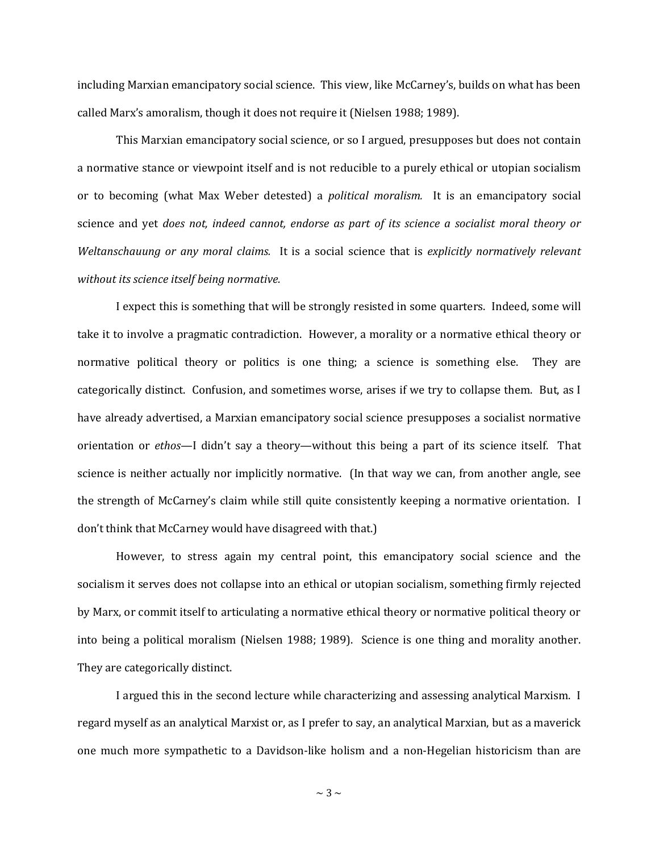including Marxian emancipatory social science. This view, like McCarney's, builds on what has been called Marx's amoralism, though it does not require it (Nielsen 1988; 1989).

This Marxian emancipatory social science, or so I argued, presupposes but does not contain a normative stance or viewpoint itself and is not reducible to a purely ethical or utopian socialism or to becoming (what Max Weber detested) a *political moralism.* It is an emancipatory social science and yet *does not, indeed cannot, endorse as part of its science a socialist moral theory or Weltanschauung or any moral claims.* It is a social science that is *explicitly normatively relevant without its science itself being normative.*

I expect this is something that will be strongly resisted in some quarters. Indeed, some will take it to involve a pragmatic contradiction. However, a morality or a normative ethical theory or normative political theory or politics is one thing; a science is something else. They are categorically distinct. Confusion, and sometimes worse, arises if we try to collapse them. But, as I have already advertised, a Marxian emancipatory social science presupposes a socialist normative orientation or *ethos*—I didn't say a theory—without this being a part of its science itself. That science is neither actually nor implicitly normative. (In that way we can, from another angle, see the strength of McCarney's claim while still quite consistently keeping a normative orientation. I don't think that McCarney would have disagreed with that.)

However, to stress again my central point, this emancipatory social science and the socialism it serves does not collapse into an ethical or utopian socialism, something firmly rejected by Marx, or commit itself to articulating a normative ethical theory or normative political theory or into being a political moralism (Nielsen 1988; 1989). Science is one thing and morality another. They are categorically distinct.

I argued this in the second lecture while characterizing and assessing analytical Marxism. I regard myself as an analytical Marxist or, as I prefer to say, an analytical Marxian, but as a maverick one much more sympathetic to a Davidson-like holism and a non-Hegelian historicism than are

 $\sim$  3  $\sim$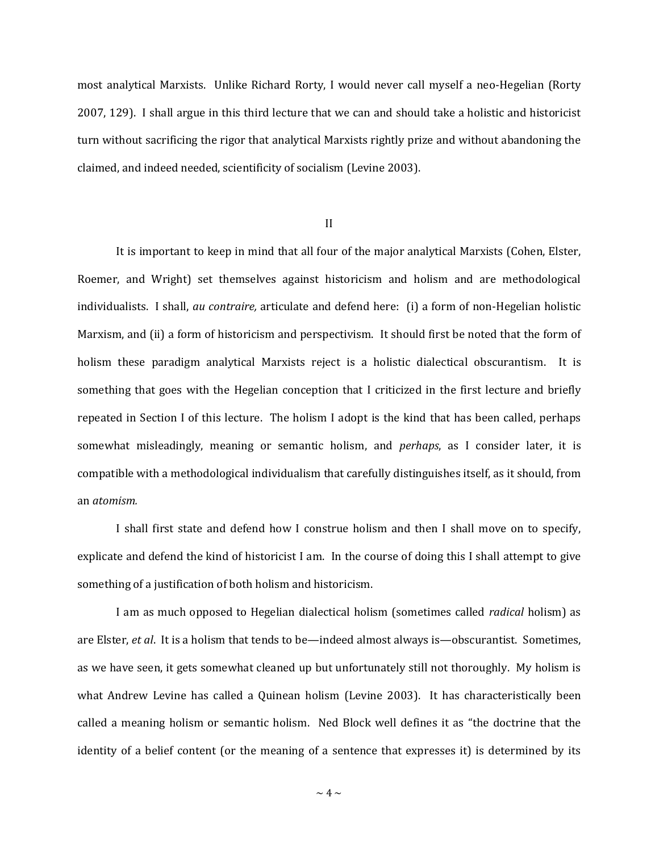most analytical Marxists. Unlike Richard Rorty, I would never call myself a neo-Hegelian (Rorty 2007, 129). I shall argue in this third lecture that we can and should take a holistic and historicist turn without sacrificing the rigor that analytical Marxists rightly prize and without abandoning the claimed, and indeed needed, scientificity of socialism (Levine 2003).

II

It is important to keep in mind that all four of the major analytical Marxists (Cohen, Elster, Roemer, and Wright) set themselves against historicism and holism and are methodological individualists. I shall, *au contraire,* articulate and defend here: (i) a form of non-Hegelian holistic Marxism, and (ii) a form of historicism and perspectivism. It should first be noted that the form of holism these paradigm analytical Marxists reject is a holistic dialectical obscurantism. It is something that goes with the Hegelian conception that I criticized in the first lecture and briefly repeated in Section I of this lecture. The holism I adopt is the kind that has been called, perhaps somewhat misleadingly, meaning or semantic holism, and *perhaps*, as I consider later, it is compatible with a methodological individualism that carefully distinguishes itself, as it should, from an *atomism.*

I shall first state and defend how I construe holism and then I shall move on to specify, explicate and defend the kind of historicist I am. In the course of doing this I shall attempt to give something of a justification of both holism and historicism.

I am as much opposed to Hegelian dialectical holism (sometimes called *radical* holism) as are Elster, *et al*. It is a holism that tends to be—indeed almost always is—obscurantist. Sometimes, as we have seen, it gets somewhat cleaned up but unfortunately still not thoroughly. My holism is what Andrew Levine has called a Quinean holism (Levine 2003). It has characteristically been called a meaning holism or semantic holism. Ned Block well defines it as "the doctrine that the identity of a belief content (or the meaning of a sentence that expresses it) is determined by its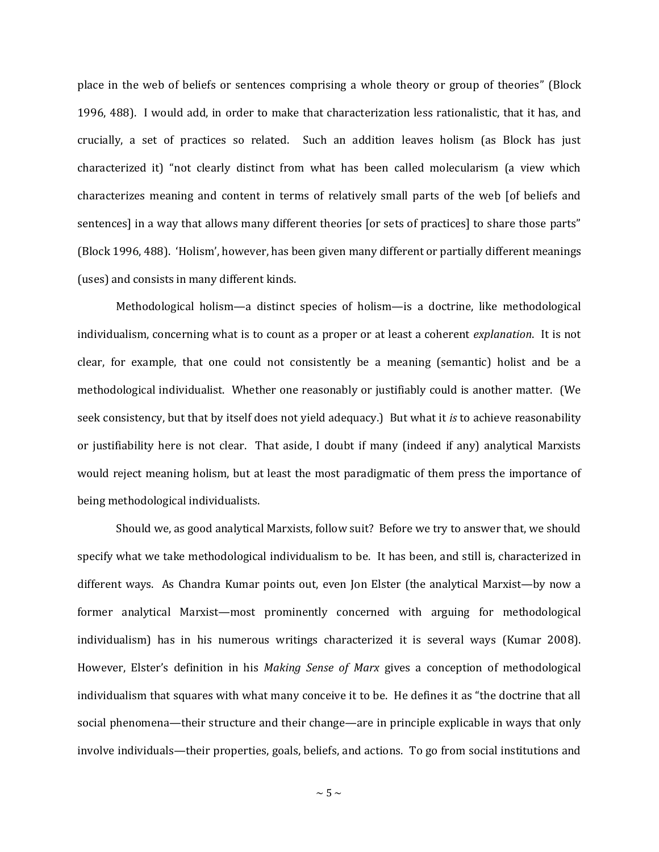place in the web of beliefs or sentences comprising a whole theory or group of theories" (Block 1996, 488). I would add, in order to make that characterization less rationalistic, that it has, and crucially, a set of practices so related. Such an addition leaves holism (as Block has just characterized it) "not clearly distinct from what has been called molecularism (a view which characterizes meaning and content in terms of relatively small parts of the web [of beliefs and sentences] in a way that allows many different theories [or sets of practices] to share those parts" (Block 1996, 488). 'Holism', however, has been given many different or partially different meanings (uses) and consists in many different kinds.

Methodological holism—a distinct species of holism—is a doctrine, like methodological individualism, concerning what is to count as a proper or at least a coherent *explanation*. It is not clear, for example, that one could not consistently be a meaning (semantic) holist and be a methodological individualist. Whether one reasonably or justifiably could is another matter. (We seek consistency, but that by itself does not yield adequacy.) But what it *is* to achieve reasonability or justifiability here is not clear. That aside, I doubt if many (indeed if any) analytical Marxists would reject meaning holism, but at least the most paradigmatic of them press the importance of being methodological individualists.

Should we, as good analytical Marxists, follow suit? Before we try to answer that, we should specify what we take methodological individualism to be. It has been, and still is, characterized in different ways. As Chandra Kumar points out, even Jon Elster (the analytical Marxist—by now a former analytical Marxist—most prominently concerned with arguing for methodological individualism) has in his numerous writings characterized it is several ways (Kumar 2008). However, Elster's definition in his *Making Sense of Marx* gives a conception of methodological individualism that squares with what many conceive it to be. He defines it as "the doctrine that all social phenomena—their structure and their change—are in principle explicable in ways that only involve individuals—their properties, goals, beliefs, and actions. To go from social institutions and

 $\sim$  5  $\sim$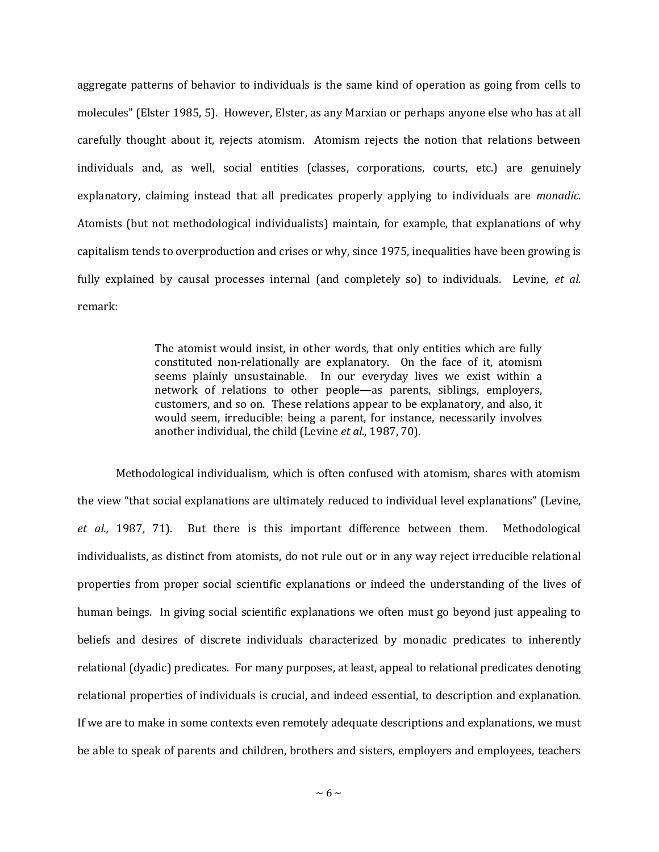aggregate patterns of behavior to individuals is the same kind of operation as going from cells to molecules" (Elster 1985, 5). However, Elster, as any Marxian or perhaps anyone else who has at all carefully thought about it, rejects atomism. Atomism rejects the notion that relations between individuals and, as well, social entities (classes, corporations, courts, etc.) are genuinely explanatory, claiming instead that all predicates properly applying to individuals are *monadic*. Atomists (but not methodological individualists) maintain, for example, that explanations of why capitalism tends to overproduction and crises or why, since 1975, inequalities have been growing is fully explained by causal processes internal (and completely so) to individuals. Levine, *et al.*  remark:

> The atomist would insist, in other words, that only entities which are fully constituted non-relationally are explanatory. On the face of it, atomism seems plainly unsustainable. In our everyday lives we exist within a network of relations to other people—as parents, siblings, employers, customers, and so on. These relations appear to be explanatory, and also, it would seem, irreducible: being a parent, for instance, necessarily involves another individual, the child (Levine *et al.*, 1987, 70).

Methodological individualism, which is often confused with atomism, shares with atomism the view "that social explanations are ultimately reduced to individual level explanations" (Levine, *et al.,* 1987, 71). But there is this important difference between them. Methodological individualists, as distinct from atomists, do not rule out or in any way reject irreducible relational properties from proper social scientific explanations or indeed the understanding of the lives of human beings. In giving social scientific explanations we often must go beyond just appealing to beliefs and desires of discrete individuals characterized by monadic predicates to inherently relational (dyadic) predicates. For many purposes, at least, appeal to relational predicates denoting relational properties of individuals is crucial, and indeed essential, to description and explanation. If we are to make in some contexts even remotely adequate descriptions and explanations, we must be able to speak of parents and children, brothers and sisters, employers and employees, teachers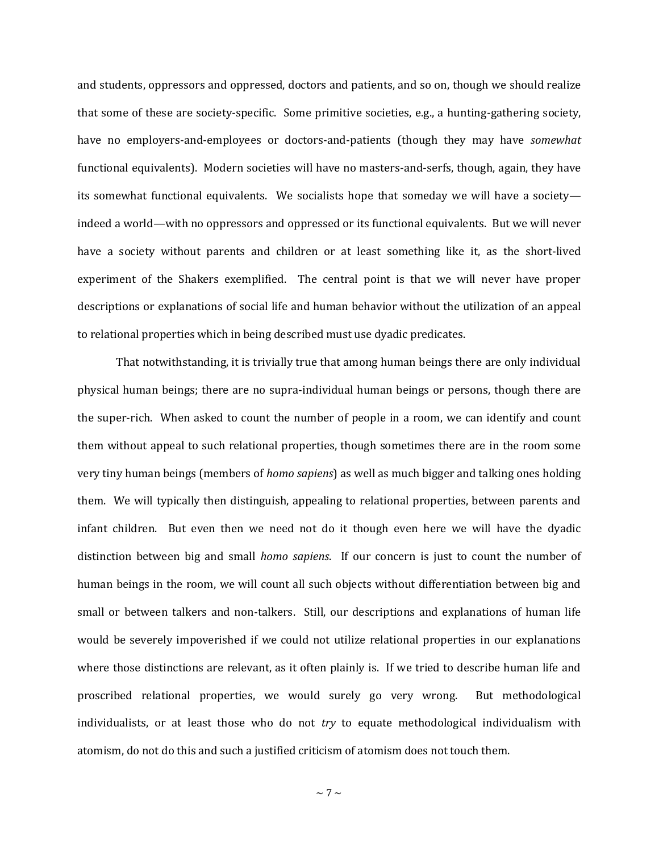and students, oppressors and oppressed, doctors and patients, and so on, though we should realize that some of these are society-specific. Some primitive societies, e.g., a hunting-gathering society, have no employers-and-employees or doctors-and-patients (though they may have *somewhat*  functional equivalents). Modern societies will have no masters-and-serfs, though, again, they have its somewhat functional equivalents. We socialists hope that someday we will have a society indeed a world—with no oppressors and oppressed or its functional equivalents. But we will never have a society without parents and children or at least something like it, as the short-lived experiment of the Shakers exemplified. The central point is that we will never have proper descriptions or explanations of social life and human behavior without the utilization of an appeal to relational properties which in being described must use dyadic predicates.

That notwithstanding, it is trivially true that among human beings there are only individual physical human beings; there are no supra-individual human beings or persons, though there are the super-rich. When asked to count the number of people in a room, we can identify and count them without appeal to such relational properties, though sometimes there are in the room some very tiny human beings (members of *homo sapiens*) as well as much bigger and talking ones holding them. We will typically then distinguish, appealing to relational properties, between parents and infant children. But even then we need not do it though even here we will have the dyadic distinction between big and small *homo sapiens*. If our concern is just to count the number of human beings in the room, we will count all such objects without differentiation between big and small or between talkers and non-talkers. Still, our descriptions and explanations of human life would be severely impoverished if we could not utilize relational properties in our explanations where those distinctions are relevant, as it often plainly is. If we tried to describe human life and proscribed relational properties, we would surely go very wrong. But methodological individualists, or at least those who do not *try* to equate methodological individualism with atomism, do not do this and such a justified criticism of atomism does not touch them.

 $\sim$  7  $\sim$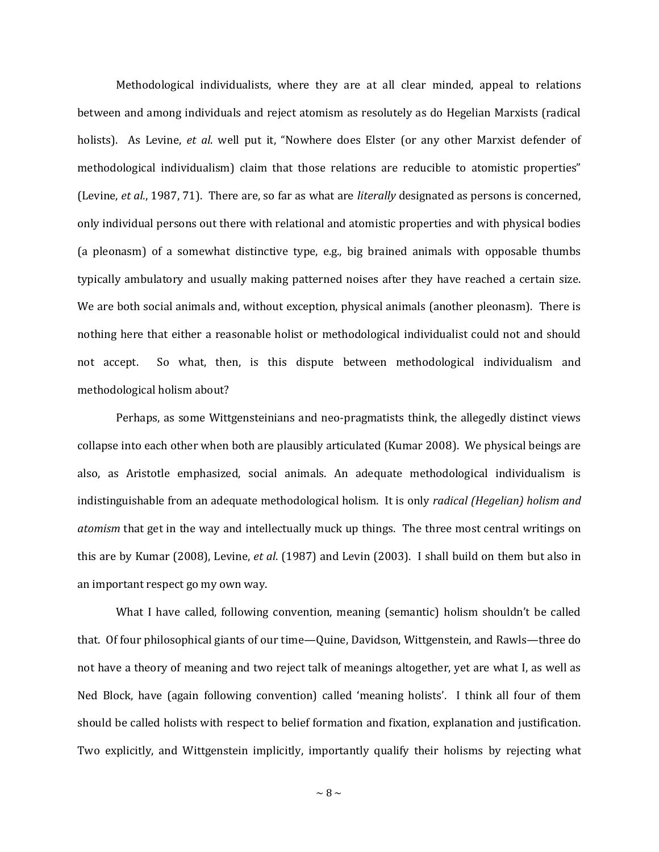Methodological individualists, where they are at all clear minded, appeal to relations between and among individuals and reject atomism as resolutely as do Hegelian Marxists (radical holists). As Levine, *et al*. well put it, "Nowhere does Elster (or any other Marxist defender of methodological individualism) claim that those relations are reducible to atomistic properties" (Levine, *et al.*, 1987, 71). There are, so far as what are *literally* designated as persons is concerned, only individual persons out there with relational and atomistic properties and with physical bodies (a pleonasm) of a somewhat distinctive type, e.g., big brained animals with opposable thumbs typically ambulatory and usually making patterned noises after they have reached a certain size. We are both social animals and, without exception, physical animals (another pleonasm). There is nothing here that either a reasonable holist or methodological individualist could not and should not accept. So what, then, is this dispute between methodological individualism and methodological holism about?

Perhaps, as some Wittgensteinians and neo-pragmatists think, the allegedly distinct views collapse into each other when both are plausibly articulated (Kumar 2008). We physical beings are also, as Aristotle emphasized, social animals. An adequate methodological individualism is indistinguishable from an adequate methodological holism. It is only *radical (Hegelian) holism and atomism* that get in the way and intellectually muck up things. The three most central writings on this are by Kumar (2008), Levine, *et al*. (1987) and Levin (2003). I shall build on them but also in an important respect go my own way.

What I have called, following convention, meaning (semantic) holism shouldn't be called that. Of four philosophical giants of our time—Quine, Davidson, Wittgenstein, and Rawls—three do not have a theory of meaning and two reject talk of meanings altogether, yet are what I, as well as Ned Block, have (again following convention) called 'meaning holists'. I think all four of them should be called holists with respect to belief formation and fixation, explanation and justification. Two explicitly, and Wittgenstein implicitly, importantly qualify their holisms by rejecting what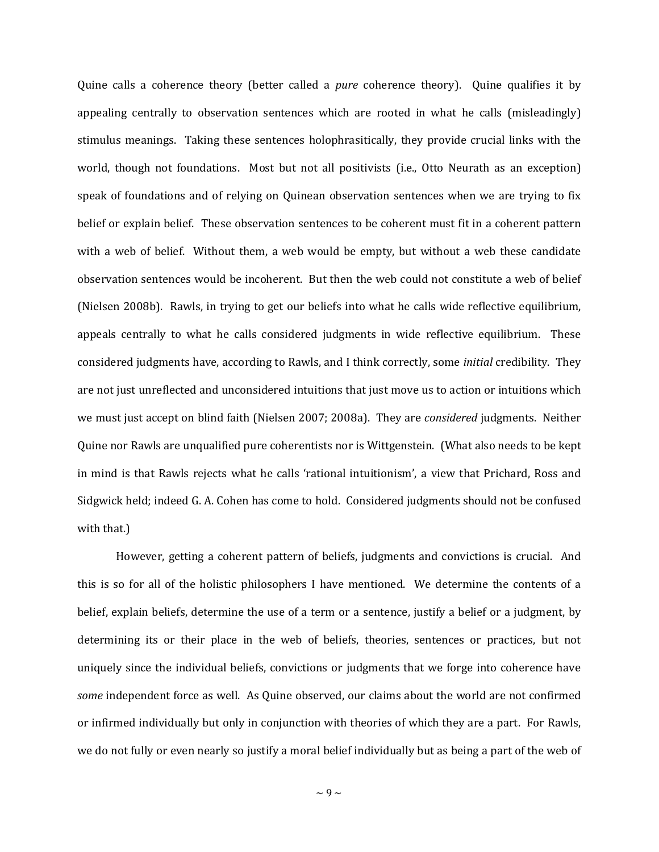Quine calls a coherence theory (better called a *pure* coherence theory). Quine qualifies it by appealing centrally to observation sentences which are rooted in what he calls (misleadingly) stimulus meanings. Taking these sentences holophrasitically, they provide crucial links with the world, though not foundations. Most but not all positivists (i.e., Otto Neurath as an exception) speak of foundations and of relying on Quinean observation sentences when we are trying to fix belief or explain belief. These observation sentences to be coherent must fit in a coherent pattern with a web of belief. Without them, a web would be empty, but without a web these candidate observation sentences would be incoherent. But then the web could not constitute a web of belief (Nielsen 2008b). Rawls, in trying to get our beliefs into what he calls wide reflective equilibrium, appeals centrally to what he calls considered judgments in wide reflective equilibrium. These considered judgments have, according to Rawls, and I think correctly, some *initial* credibility. They are not just unreflected and unconsidered intuitions that just move us to action or intuitions which we must just accept on blind faith (Nielsen 2007; 2008a). They are *considered* judgments. Neither Quine nor Rawls are unqualified pure coherentists nor is Wittgenstein. (What also needs to be kept in mind is that Rawls rejects what he calls 'rational intuitionism', a view that Prichard, Ross and Sidgwick held; indeed G. A. Cohen has come to hold. Considered judgments should not be confused with that.)

However, getting a coherent pattern of beliefs, judgments and convictions is crucial. And this is so for all of the holistic philosophers I have mentioned. We determine the contents of a belief, explain beliefs, determine the use of a term or a sentence, justify a belief or a judgment, by determining its or their place in the web of beliefs, theories, sentences or practices, but not uniquely since the individual beliefs, convictions or judgments that we forge into coherence have *some* independent force as well. As Quine observed, our claims about the world are not confirmed or infirmed individually but only in conjunction with theories of which they are a part. For Rawls, we do not fully or even nearly so justify a moral belief individually but as being a part of the web of

 $\sim$  9  $\sim$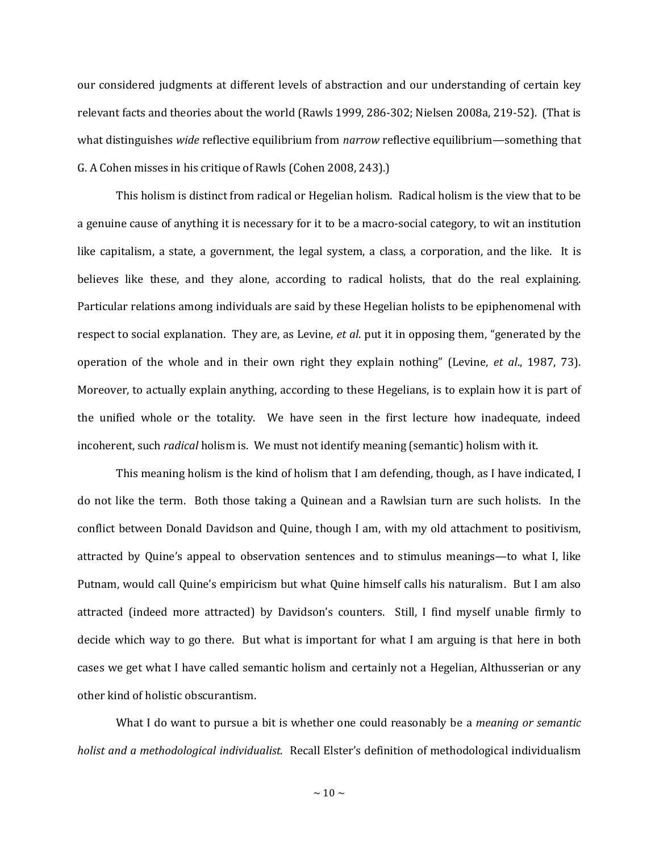our considered judgments at different levels of abstraction and our understanding of certain key relevant facts and theories about the world (Rawls 1999, 286-302; Nielsen 2008a, 219-52). (That is what distinguishes *wide* reflective equilibrium from *narrow* reflective equilibrium—something that G. A Cohen misses in his critique of Rawls (Cohen 2008, 243).)

This holism is distinct from radical or Hegelian holism. Radical holism is the view that to be a genuine cause of anything it is necessary for it to be a macro-social category, to wit an institution like capitalism, a state, a government, the legal system, a class, a corporation, and the like. It is believes like these, and they alone, according to radical holists, that do the real explaining. Particular relations among individuals are said by these Hegelian holists to be epiphenomenal with respect to social explanation. They are, as Levine, *et al*. put it in opposing them, "generated by the operation of the whole and in their own right they explain nothing" (Levine, *et al*., 1987, 73). Moreover, to actually explain anything, according to these Hegelians, is to explain how it is part of the unified whole or the totality. We have seen in the first lecture how inadequate, indeed incoherent, such *radical* holism is. We must not identify meaning (semantic) holism with it.

This meaning holism is the kind of holism that I am defending, though, as I have indicated, I do not like the term. Both those taking a Quinean and a Rawlsian turn are such holists. In the conflict between Donald Davidson and Quine, though I am, with my old attachment to positivism, attracted by Quine's appeal to observation sentences and to stimulus meanings—to what I, like Putnam, would call Quine's empiricism but what Quine himself calls his naturalism. But I am also attracted (indeed more attracted) by Davidson's counters. Still, I find myself unable firmly to decide which way to go there. But what is important for what I am arguing is that here in both cases we get what I have called semantic holism and certainly not a Hegelian, Althusserian or any other kind of holistic obscurantism.

What I do want to pursue a bit is whether one could reasonably be a *meaning or semantic holist and a methodological individualist.* Recall Elster's definition of methodological individualism

 $\sim$  10  $\sim$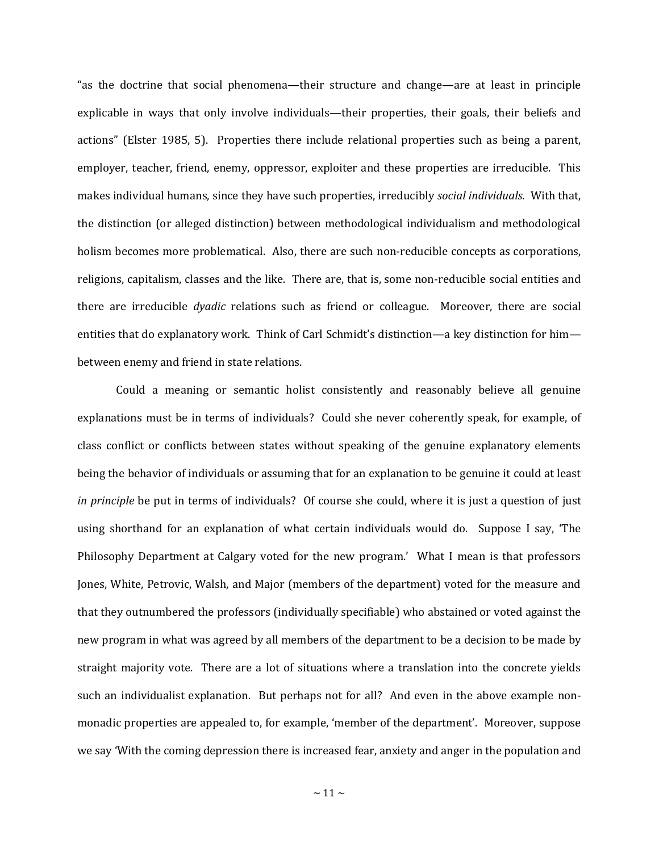"as the doctrine that social phenomena—their structure and change—are at least in principle explicable in ways that only involve individuals—their properties, their goals, their beliefs and actions" (Elster 1985, 5). Properties there include relational properties such as being a parent, employer, teacher, friend, enemy, oppressor, exploiter and these properties are irreducible. This makes individual humans, since they have such properties, irreducibly *social individuals*. With that, the distinction (or alleged distinction) between methodological individualism and methodological holism becomes more problematical. Also, there are such non-reducible concepts as corporations, religions, capitalism, classes and the like. There are, that is, some non-reducible social entities and there are irreducible *dyadic* relations such as friend or colleague. Moreover, there are social entities that do explanatory work. Think of Carl Schmidt's distinction—a key distinction for him between enemy and friend in state relations.

Could a meaning or semantic holist consistently and reasonably believe all genuine explanations must be in terms of individuals? Could she never coherently speak, for example, of class conflict or conflicts between states without speaking of the genuine explanatory elements being the behavior of individuals or assuming that for an explanation to be genuine it could at least *in principle* be put in terms of individuals? Of course she could, where it is just a question of just using shorthand for an explanation of what certain individuals would do. Suppose I say, 'The Philosophy Department at Calgary voted for the new program.' What I mean is that professors Jones, White, Petrovic, Walsh, and Major (members of the department) voted for the measure and that they outnumbered the professors (individually specifiable) who abstained or voted against the new program in what was agreed by all members of the department to be a decision to be made by straight majority vote. There are a lot of situations where a translation into the concrete yields such an individualist explanation. But perhaps not for all? And even in the above example nonmonadic properties are appealed to, for example, 'member of the department'. Moreover, suppose we say 'With the coming depression there is increased fear, anxiety and anger in the population and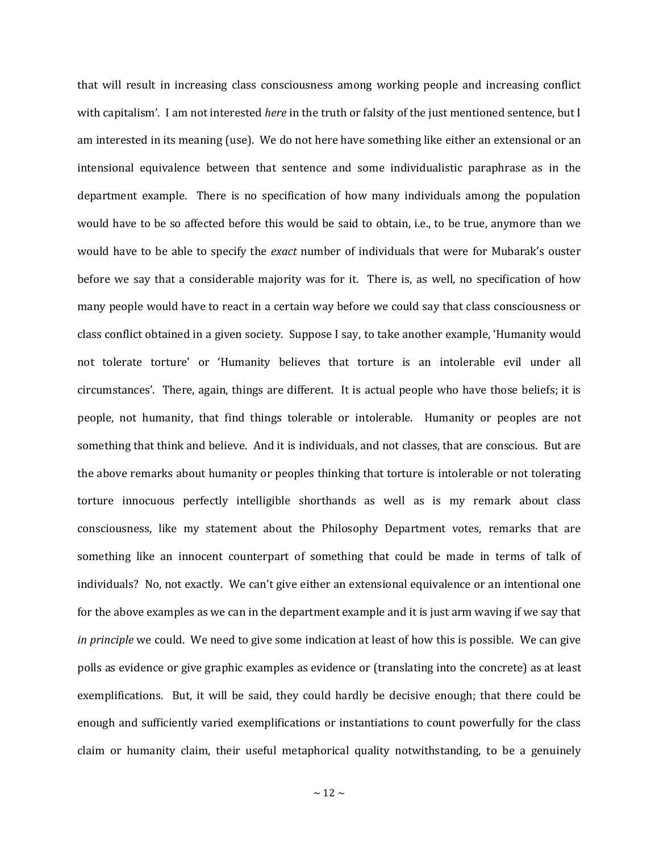that will result in increasing class consciousness among working people and increasing conflict with capitalism'. I am not interested *here* in the truth or falsity of the just mentioned sentence, but I am interested in its meaning (use). We do not here have something like either an extensional or an intensional equivalence between that sentence and some individualistic paraphrase as in the department example. There is no specification of how many individuals among the population would have to be so affected before this would be said to obtain, i.e., to be true, anymore than we would have to be able to specify the *exact* number of individuals that were for Mubarak's ouster before we say that a considerable majority was for it. There is, as well, no specification of how many people would have to react in a certain way before we could say that class consciousness or class conflict obtained in a given society. Suppose I say, to take another example, 'Humanity would not tolerate torture' or 'Humanity believes that torture is an intolerable evil under all circumstances'. There, again, things are different. It is actual people who have those beliefs; it is people, not humanity, that find things tolerable or intolerable. Humanity or peoples are not something that think and believe. And it is individuals, and not classes, that are conscious. But are the above remarks about humanity or peoples thinking that torture is intolerable or not tolerating torture innocuous perfectly intelligible shorthands as well as is my remark about class consciousness, like my statement about the Philosophy Department votes, remarks that are something like an innocent counterpart of something that could be made in terms of talk of individuals? No, not exactly. We can't give either an extensional equivalence or an intentional one for the above examples as we can in the department example and it is just arm waving if we say that *in principle* we could. We need to give some indication at least of how this is possible. We can give polls as evidence or give graphic examples as evidence or (translating into the concrete) as at least exemplifications. But, it will be said, they could hardly be decisive enough; that there could be enough and sufficiently varied exemplifications or instantiations to count powerfully for the class claim or humanity claim, their useful metaphorical quality notwithstanding, to be a genuinely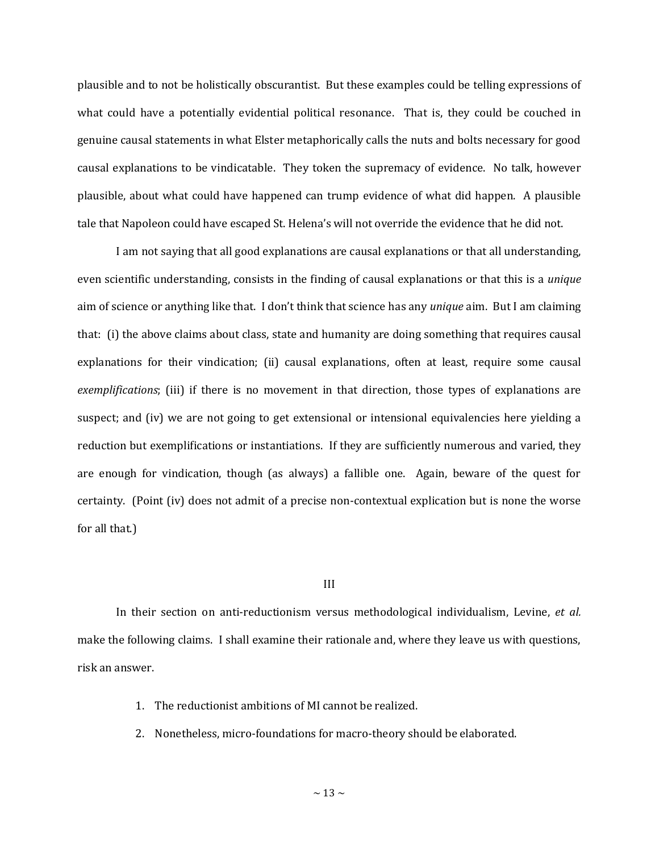plausible and to not be holistically obscurantist. But these examples could be telling expressions of what could have a potentially evidential political resonance. That is, they could be couched in genuine causal statements in what Elster metaphorically calls the nuts and bolts necessary for good causal explanations to be vindicatable. They token the supremacy of evidence. No talk, however plausible, about what could have happened can trump evidence of what did happen. A plausible tale that Napoleon could have escaped St. Helena's will not override the evidence that he did not.

I am not saying that all good explanations are causal explanations or that all understanding, even scientific understanding, consists in the finding of causal explanations or that this is a *unique* aim of science or anything like that. I don't think that science has any *unique* aim. But I am claiming that: (i) the above claims about class, state and humanity are doing something that requires causal explanations for their vindication; (ii) causal explanations, often at least, require some causal *exemplifications*; (iii) if there is no movement in that direction, those types of explanations are suspect; and (iv) we are not going to get extensional or intensional equivalencies here yielding a reduction but exemplifications or instantiations. If they are sufficiently numerous and varied, they are enough for vindication, though (as always) a fallible one. Again, beware of the quest for certainty. (Point (iv) does not admit of a precise non-contextual explication but is none the worse for all that.)

#### III

In their section on anti-reductionism versus methodological individualism, Levine, *et al.* make the following claims. I shall examine their rationale and, where they leave us with questions, risk an answer.

- 1. The reductionist ambitions of MI cannot be realized.
- 2. Nonetheless, micro-foundations for macro-theory should be elaborated.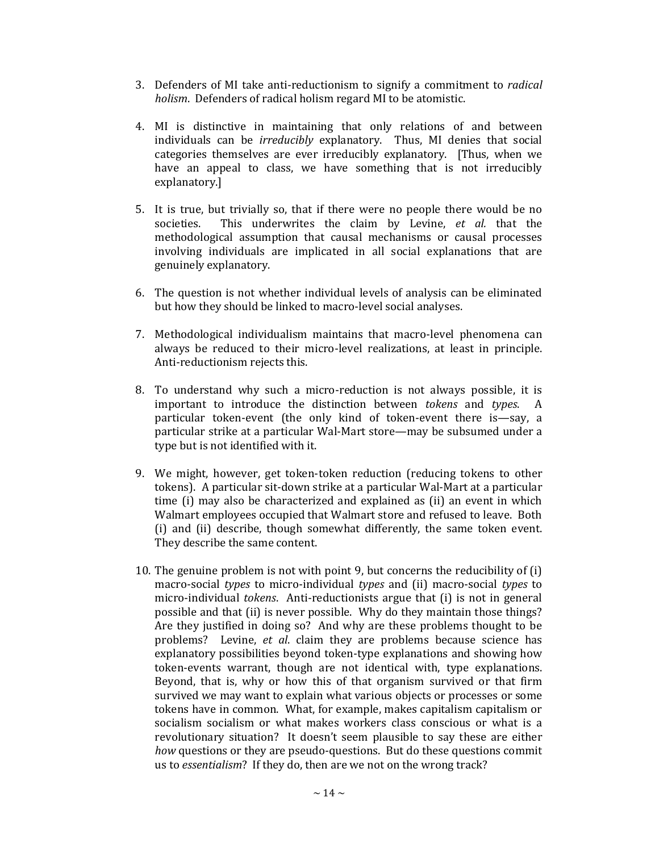- 3. Defenders of MI take anti-reductionism to signify a commitment to *radical holism*. Defenders of radical holism regard MI to be atomistic.
- 4. MI is distinctive in maintaining that only relations of and between individuals can be *irreducibly* explanatory. Thus, MI denies that social categories themselves are ever irreducibly explanatory. [Thus, when we have an appeal to class, we have something that is not irreducibly explanatory.]
- 5. It is true, but trivially so, that if there were no people there would be no societies. This underwrites the claim by Levine, *et al.* that the methodological assumption that causal mechanisms or causal processes involving individuals are implicated in all social explanations that are genuinely explanatory.
- 6. The question is not whether individual levels of analysis can be eliminated but how they should be linked to macro-level social analyses.
- 7. Methodological individualism maintains that macro-level phenomena can always be reduced to their micro-level realizations, at least in principle. Anti-reductionism rejects this.
- 8. To understand why such a micro-reduction is not always possible, it is important to introduce the distinction between *tokens* and *types*. A particular token-event (the only kind of token-event there is—say, a particular strike at a particular Wal-Mart store—may be subsumed under a type but is not identified with it.
- 9. We might, however, get token-token reduction (reducing tokens to other tokens). A particular sit-down strike at a particular Wal-Mart at a particular time (i) may also be characterized and explained as (ii) an event in which Walmart employees occupied that Walmart store and refused to leave. Both (i) and (ii) describe, though somewhat differently, the same token event. They describe the same content.
- 10. The genuine problem is not with point 9, but concerns the reducibility of (i) macro-social *types* to micro-individual *types* and (ii) macro-social *types* to micro-individual *tokens*. Anti-reductionists argue that (i) is not in general possible and that (ii) is never possible. Why do they maintain those things? Are they justified in doing so? And why are these problems thought to be problems? Levine, *et al*. claim they are problems because science has explanatory possibilities beyond token-type explanations and showing how token-events warrant, though are not identical with, type explanations. Beyond, that is, why or how this of that organism survived or that firm survived we may want to explain what various objects or processes or some tokens have in common. What, for example, makes capitalism capitalism or socialism socialism or what makes workers class conscious or what is a revolutionary situation? It doesn't seem plausible to say these are either *how* questions or they are pseudo-questions. But do these questions commit us to *essentialism*? If they do, then are we not on the wrong track?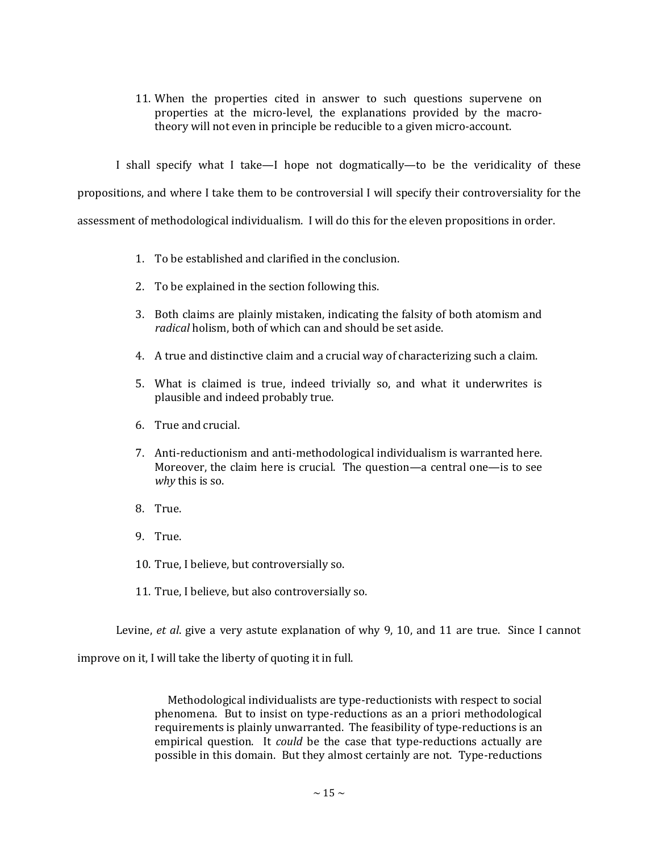11. When the properties cited in answer to such questions supervene on properties at the micro-level, the explanations provided by the macrotheory will not even in principle be reducible to a given micro-account.

I shall specify what I take—I hope not dogmatically—to be the veridicality of these propositions, and where I take them to be controversial I will specify their controversiality for the assessment of methodological individualism. I will do this for the eleven propositions in order.

- 1. To be established and clarified in the conclusion.
- 2. To be explained in the section following this.
- 3. Both claims are plainly mistaken, indicating the falsity of both atomism and *radical* holism, both of which can and should be set aside.
- 4. A true and distinctive claim and a crucial way of characterizing such a claim.
- 5. What is claimed is true, indeed trivially so, and what it underwrites is plausible and indeed probably true.
- 6. True and crucial.
- 7. Anti-reductionism and anti-methodological individualism is warranted here. Moreover, the claim here is crucial. The question—a central one—is to see *why* this is so.
- 8. True.
- 9. True.
- 10. True, I believe, but controversially so.
- 11. True, I believe, but also controversially so.

Levine, *et al*. give a very astute explanation of why 9, 10, and 11 are true. Since I cannot

improve on it, I will take the liberty of quoting it in full.

 Methodological individualists are type-reductionists with respect to social phenomena. But to insist on type-reductions as an a priori methodological requirements is plainly unwarranted. The feasibility of type-reductions is an empirical question. It *could* be the case that type-reductions actually are possible in this domain. But they almost certainly are not. Type-reductions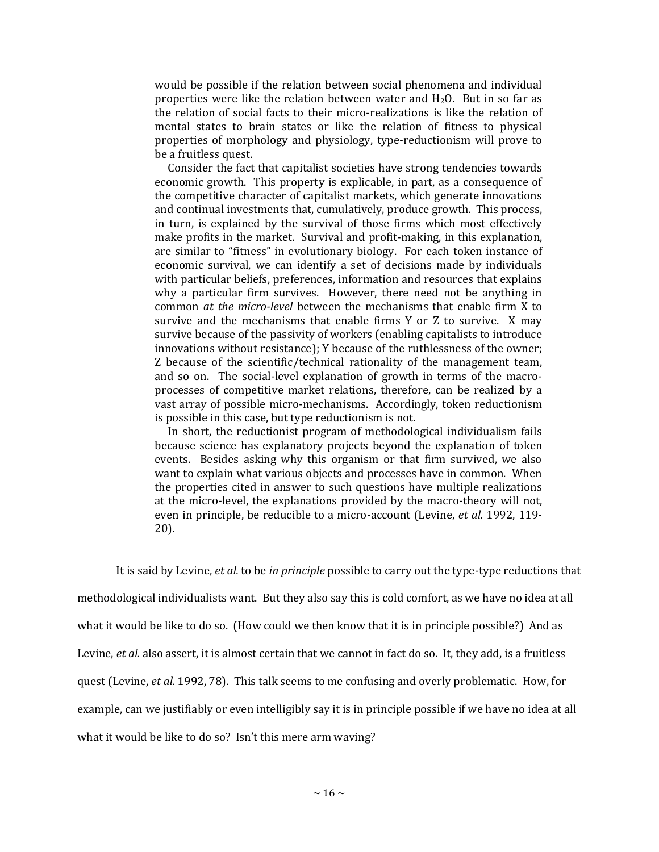would be possible if the relation between social phenomena and individual properties were like the relation between water and  $H_2O$ . But in so far as the relation of social facts to their micro-realizations is like the relation of mental states to brain states or like the relation of fitness to physical properties of morphology and physiology, type-reductionism will prove to be a fruitless quest.

 Consider the fact that capitalist societies have strong tendencies towards economic growth. This property is explicable, in part, as a consequence of the competitive character of capitalist markets, which generate innovations and continual investments that, cumulatively, produce growth. This process, in turn, is explained by the survival of those firms which most effectively make profits in the market. Survival and profit-making, in this explanation, are similar to "fitness" in evolutionary biology. For each token instance of economic survival, we can identify a set of decisions made by individuals with particular beliefs, preferences, information and resources that explains why a particular firm survives. However, there need not be anything in common *at the micro-level* between the mechanisms that enable firm X to survive and the mechanisms that enable firms Y or Z to survive. X may survive because of the passivity of workers (enabling capitalists to introduce innovations without resistance); Y because of the ruthlessness of the owner; Z because of the scientific/technical rationality of the management team, and so on. The social-level explanation of growth in terms of the macroprocesses of competitive market relations, therefore, can be realized by a vast array of possible micro-mechanisms. Accordingly, token reductionism is possible in this case, but type reductionism is not.

 In short, the reductionist program of methodological individualism fails because science has explanatory projects beyond the explanation of token events. Besides asking why this organism or that firm survived, we also want to explain what various objects and processes have in common. When the properties cited in answer to such questions have multiple realizations at the micro-level, the explanations provided by the macro-theory will not, even in principle, be reducible to a micro-account (Levine, *et al.* 1992, 119- 20).

It is said by Levine, *et al.* to be *in principle* possible to carry out the type-type reductions that methodological individualists want. But they also say this is cold comfort, as we have no idea at all what it would be like to do so. (How could we then know that it is in principle possible?) And as Levine, *et al.* also assert, it is almost certain that we cannot in fact do so. It, they add, is a fruitless quest (Levine, *et al.* 1992, 78). This talk seems to me confusing and overly problematic. How, for example, can we justifiably or even intelligibly say it is in principle possible if we have no idea at all what it would be like to do so? Isn't this mere arm waving?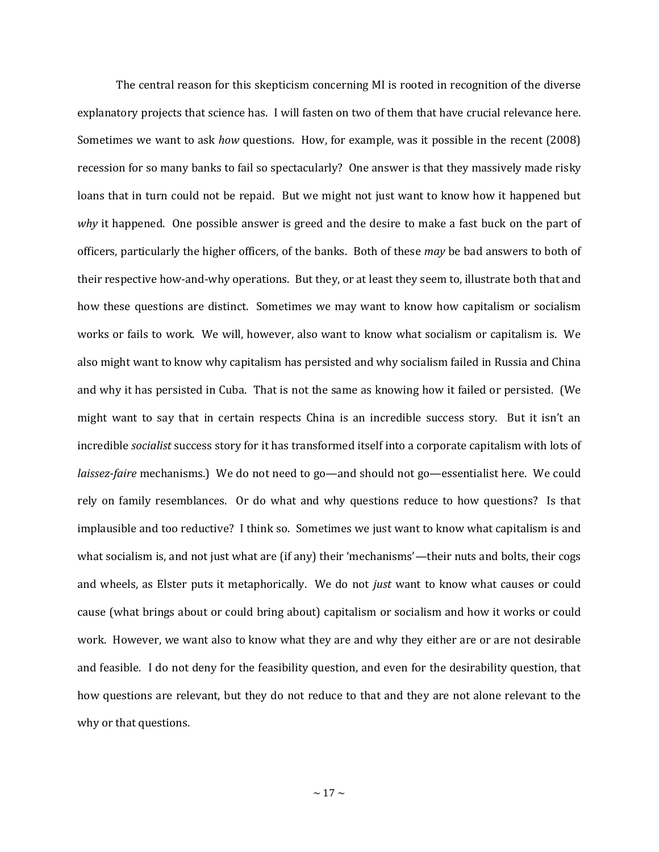The central reason for this skepticism concerning MI is rooted in recognition of the diverse explanatory projects that science has. I will fasten on two of them that have crucial relevance here. Sometimes we want to ask *how* questions. How, for example, was it possible in the recent (2008) recession for so many banks to fail so spectacularly? One answer is that they massively made risky loans that in turn could not be repaid. But we might not just want to know how it happened but *why* it happened. One possible answer is greed and the desire to make a fast buck on the part of officers, particularly the higher officers, of the banks. Both of these *may* be bad answers to both of their respective how-and-why operations. But they, or at least they seem to, illustrate both that and how these questions are distinct. Sometimes we may want to know how capitalism or socialism works or fails to work. We will, however, also want to know what socialism or capitalism is. We also might want to know why capitalism has persisted and why socialism failed in Russia and China and why it has persisted in Cuba. That is not the same as knowing how it failed or persisted. (We might want to say that in certain respects China is an incredible success story. But it isn't an incredible *socialist* success story for it has transformed itself into a corporate capitalism with lots of *laissez-faire* mechanisms.) We do not need to go—and should not go—essentialist here. We could rely on family resemblances. Or do what and why questions reduce to how questions? Is that implausible and too reductive? I think so. Sometimes we just want to know what capitalism is and what socialism is, and not just what are (if any) their 'mechanisms'—their nuts and bolts, their cogs and wheels, as Elster puts it metaphorically. We do not *just* want to know what causes or could cause (what brings about or could bring about) capitalism or socialism and how it works or could work. However, we want also to know what they are and why they either are or are not desirable and feasible. I do not deny for the feasibility question, and even for the desirability question, that how questions are relevant, but they do not reduce to that and they are not alone relevant to the why or that questions.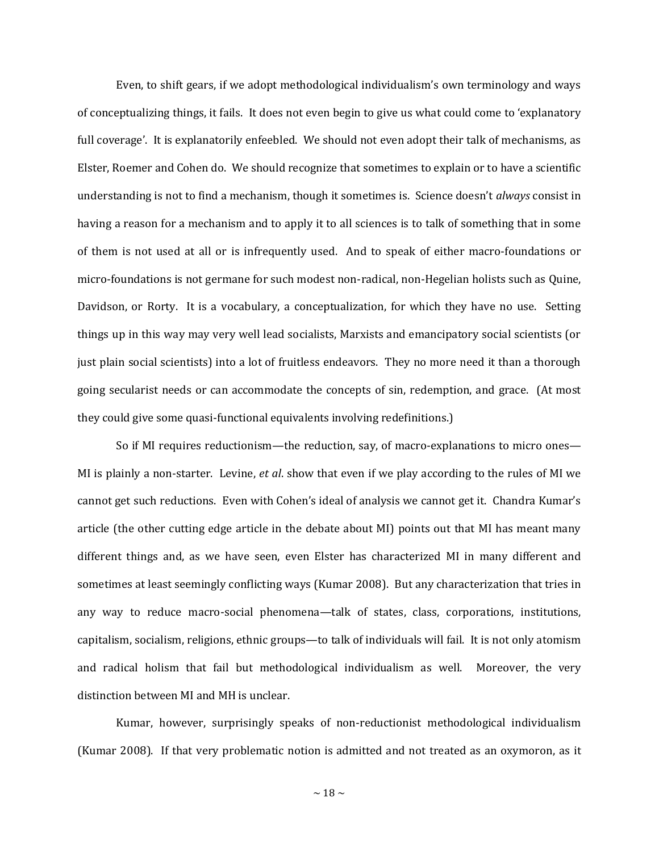Even, to shift gears, if we adopt methodological individualism's own terminology and ways of conceptualizing things, it fails. It does not even begin to give us what could come to 'explanatory full coverage'. It is explanatorily enfeebled. We should not even adopt their talk of mechanisms, as Elster, Roemer and Cohen do. We should recognize that sometimes to explain or to have a scientific understanding is not to find a mechanism, though it sometimes is. Science doesn't *always* consist in having a reason for a mechanism and to apply it to all sciences is to talk of something that in some of them is not used at all or is infrequently used. And to speak of either macro-foundations or micro-foundations is not germane for such modest non-radical, non-Hegelian holists such as Quine, Davidson, or Rorty. It is a vocabulary, a conceptualization, for which they have no use. Setting things up in this way may very well lead socialists, Marxists and emancipatory social scientists (or just plain social scientists) into a lot of fruitless endeavors. They no more need it than a thorough going secularist needs or can accommodate the concepts of sin, redemption, and grace. (At most they could give some quasi-functional equivalents involving redefinitions.)

So if MI requires reductionism—the reduction, say, of macro-explanations to micro ones— MI is plainly a non-starter. Levine, *et al*. show that even if we play according to the rules of MI we cannot get such reductions. Even with Cohen's ideal of analysis we cannot get it. Chandra Kumar's article (the other cutting edge article in the debate about MI) points out that MI has meant many different things and, as we have seen, even Elster has characterized MI in many different and sometimes at least seemingly conflicting ways (Kumar 2008). But any characterization that tries in any way to reduce macro-social phenomena—talk of states, class, corporations, institutions, capitalism, socialism, religions, ethnic groups—to talk of individuals will fail. It is not only atomism and radical holism that fail but methodological individualism as well. Moreover, the very distinction between MI and MH is unclear.

Kumar, however, surprisingly speaks of non-reductionist methodological individualism (Kumar 2008). If that very problematic notion is admitted and not treated as an oxymoron, as it

 $\sim$  18  $\sim$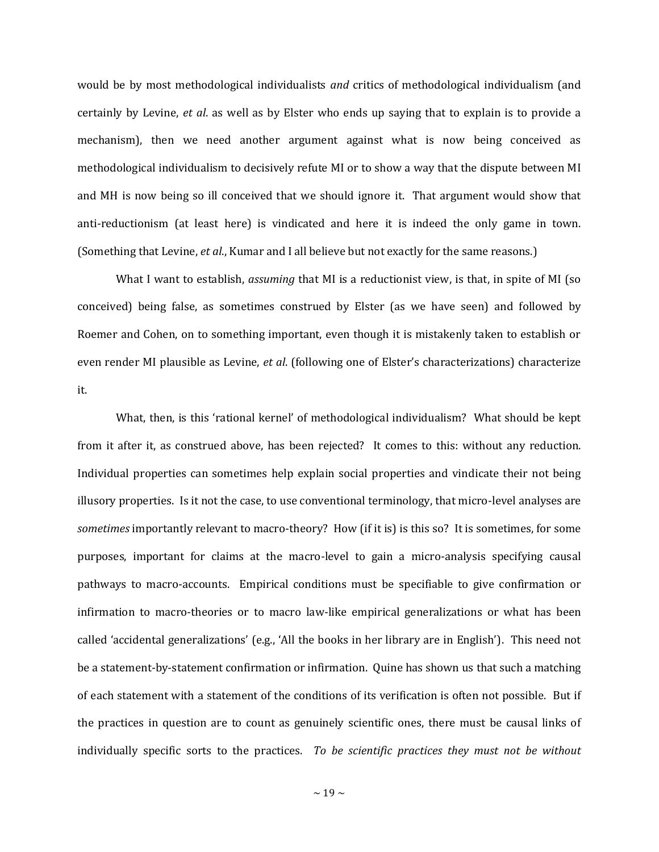would be by most methodological individualists *and* critics of methodological individualism (and certainly by Levine, *et al*. as well as by Elster who ends up saying that to explain is to provide a mechanism), then we need another argument against what is now being conceived as methodological individualism to decisively refute MI or to show a way that the dispute between MI and MH is now being so ill conceived that we should ignore it. That argument would show that anti-reductionism (at least here) is vindicated and here it is indeed the only game in town. (Something that Levine, *et al*., Kumar and I all believe but not exactly for the same reasons.)

What I want to establish, *assuming* that MI is a reductionist view, is that, in spite of MI (so conceived) being false, as sometimes construed by Elster (as we have seen) and followed by Roemer and Cohen, on to something important, even though it is mistakenly taken to establish or even render MI plausible as Levine, *et al*. (following one of Elster's characterizations) characterize it.

What, then, is this 'rational kernel' of methodological individualism? What should be kept from it after it, as construed above, has been rejected? It comes to this: without any reduction. Individual properties can sometimes help explain social properties and vindicate their not being illusory properties. Is it not the case, to use conventional terminology, that micro-level analyses are *sometimes* importantly relevant to macro-theory? How (if it is) is this so? It is sometimes, for some purposes, important for claims at the macro-level to gain a micro-analysis specifying causal pathways to macro-accounts. Empirical conditions must be specifiable to give confirmation or infirmation to macro-theories or to macro law-like empirical generalizations or what has been called 'accidental generalizations' (e.g., 'All the books in her library are in English'). This need not be a statement-by-statement confirmation or infirmation. Quine has shown us that such a matching of each statement with a statement of the conditions of its verification is often not possible. But if the practices in question are to count as genuinely scientific ones, there must be causal links of individually specific sorts to the practices. *To be scientific practices they must not be without* 

 $\sim$  19  $\sim$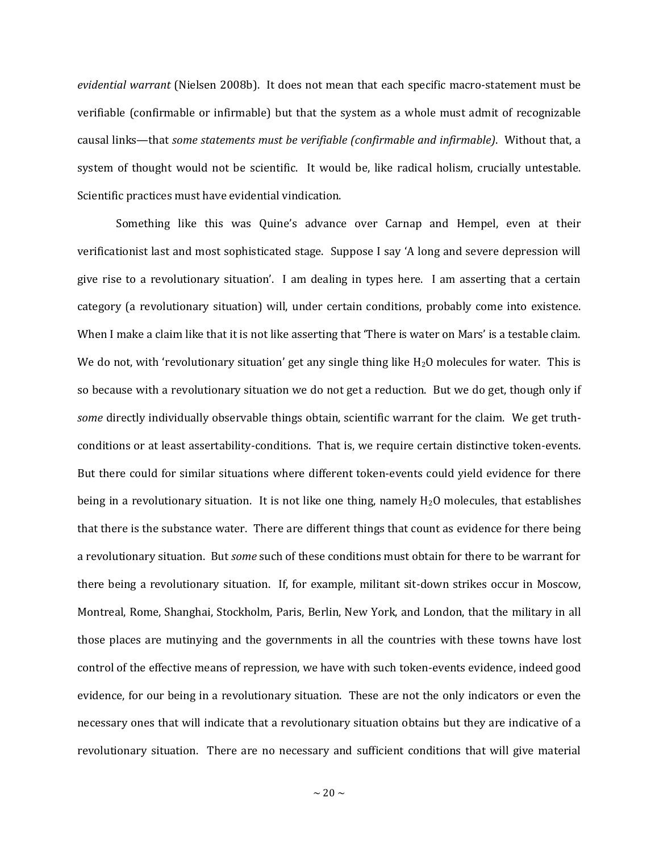*evidential warrant* (Nielsen 2008b). It does not mean that each specific macro-statement must be verifiable (confirmable or infirmable) but that the system as a whole must admit of recognizable causal links—that *some statements must be verifiable (confirmable and infirmable)*. Without that, a system of thought would not be scientific. It would be, like radical holism, crucially untestable. Scientific practices must have evidential vindication.

Something like this was Quine's advance over Carnap and Hempel, even at their verificationist last and most sophisticated stage. Suppose I say 'A long and severe depression will give rise to a revolutionary situation'. I am dealing in types here. I am asserting that a certain category (a revolutionary situation) will, under certain conditions, probably come into existence. When I make a claim like that it is not like asserting that 'There is water on Mars' is a testable claim. We do not, with 'revolutionary situation' get any single thing like  $H_2O$  molecules for water. This is so because with a revolutionary situation we do not get a reduction. But we do get, though only if *some* directly individually observable things obtain, scientific warrant for the claim. We get truthconditions or at least assertability-conditions. That is, we require certain distinctive token-events. But there could for similar situations where different token-events could yield evidence for there being in a revolutionary situation. It is not like one thing, namely  $H_2O$  molecules, that establishes that there is the substance water. There are different things that count as evidence for there being a revolutionary situation. But *some* such of these conditions must obtain for there to be warrant for there being a revolutionary situation. If, for example, militant sit-down strikes occur in Moscow, Montreal, Rome, Shanghai, Stockholm, Paris, Berlin, New York, and London, that the military in all those places are mutinying and the governments in all the countries with these towns have lost control of the effective means of repression, we have with such token-events evidence, indeed good evidence, for our being in a revolutionary situation. These are not the only indicators or even the necessary ones that will indicate that a revolutionary situation obtains but they are indicative of a revolutionary situation. There are no necessary and sufficient conditions that will give material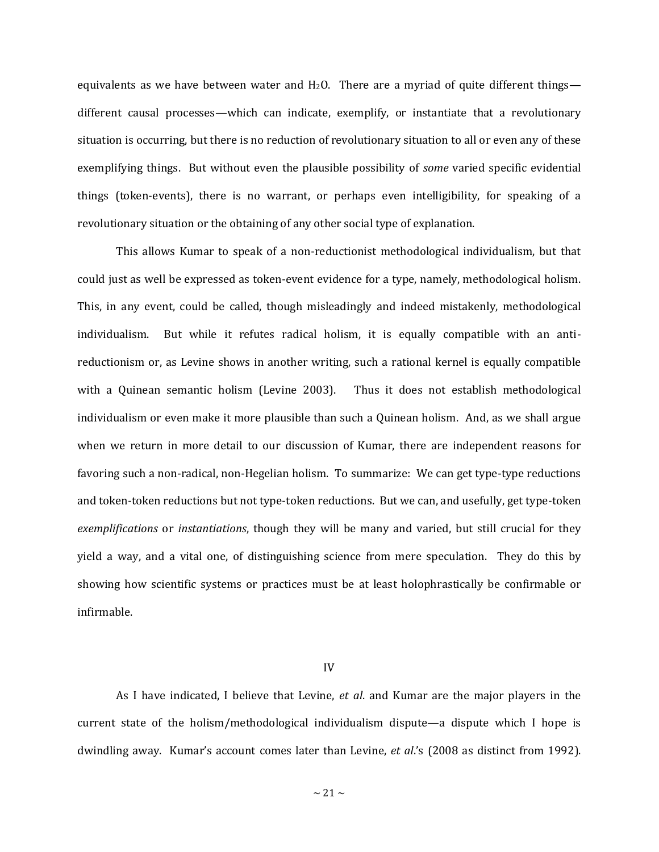equivalents as we have between water and  $H_2O$ . There are a myriad of quite different things different causal processes—which can indicate, exemplify, or instantiate that a revolutionary situation is occurring, but there is no reduction of revolutionary situation to all or even any of these exemplifying things. But without even the plausible possibility of *some* varied specific evidential things (token-events), there is no warrant, or perhaps even intelligibility, for speaking of a revolutionary situation or the obtaining of any other social type of explanation.

This allows Kumar to speak of a non-reductionist methodological individualism, but that could just as well be expressed as token-event evidence for a type, namely, methodological holism. This, in any event, could be called, though misleadingly and indeed mistakenly, methodological individualism. But while it refutes radical holism, it is equally compatible with an antireductionism or, as Levine shows in another writing, such a rational kernel is equally compatible with a Quinean semantic holism (Levine 2003). Thus it does not establish methodological individualism or even make it more plausible than such a Quinean holism. And, as we shall argue when we return in more detail to our discussion of Kumar, there are independent reasons for favoring such a non-radical, non-Hegelian holism. To summarize: We can get type-type reductions and token-token reductions but not type-token reductions. But we can, and usefully, get type-token *exemplifications* or *instantiations*, though they will be many and varied, but still crucial for they yield a way, and a vital one, of distinguishing science from mere speculation. They do this by showing how scientific systems or practices must be at least holophrastically be confirmable or infirmable.

#### IV

As I have indicated, I believe that Levine, *et al*. and Kumar are the major players in the current state of the holism/methodological individualism dispute—a dispute which I hope is dwindling away. Kumar's account comes later than Levine, *et al*.'s (2008 as distinct from 1992).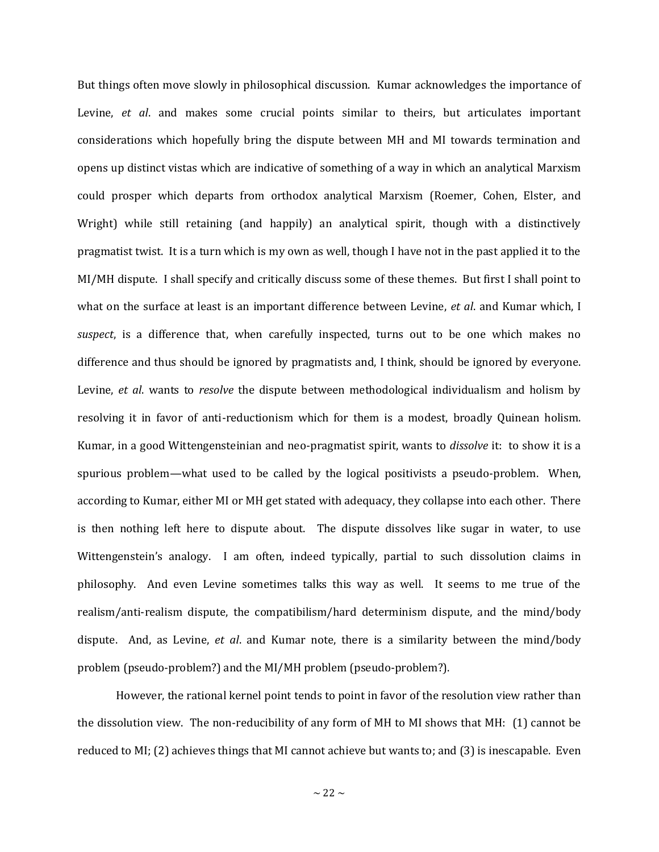But things often move slowly in philosophical discussion. Kumar acknowledges the importance of Levine, *et al*. and makes some crucial points similar to theirs, but articulates important considerations which hopefully bring the dispute between MH and MI towards termination and opens up distinct vistas which are indicative of something of a way in which an analytical Marxism could prosper which departs from orthodox analytical Marxism (Roemer, Cohen, Elster, and Wright) while still retaining (and happily) an analytical spirit, though with a distinctively pragmatist twist. It is a turn which is my own as well, though I have not in the past applied it to the MI/MH dispute. I shall specify and critically discuss some of these themes. But first I shall point to what on the surface at least is an important difference between Levine, *et al*. and Kumar which, I *suspect*, is a difference that, when carefully inspected, turns out to be one which makes no difference and thus should be ignored by pragmatists and, I think, should be ignored by everyone. Levine, *et al*. wants to *resolve* the dispute between methodological individualism and holism by resolving it in favor of anti-reductionism which for them is a modest, broadly Quinean holism. Kumar, in a good Wittengensteinian and neo-pragmatist spirit, wants to *dissolve* it: to show it is a spurious problem—what used to be called by the logical positivists a pseudo-problem. When, according to Kumar, either MI or MH get stated with adequacy, they collapse into each other. There is then nothing left here to dispute about. The dispute dissolves like sugar in water, to use Wittengenstein's analogy. I am often, indeed typically, partial to such dissolution claims in philosophy. And even Levine sometimes talks this way as well. It seems to me true of the realism/anti-realism dispute, the compatibilism/hard determinism dispute, and the mind/body dispute. And, as Levine, *et al*. and Kumar note, there is a similarity between the mind/body problem (pseudo-problem?) and the MI/MH problem (pseudo-problem?).

However, the rational kernel point tends to point in favor of the resolution view rather than the dissolution view. The non-reducibility of any form of MH to MI shows that MH: (1) cannot be reduced to MI; (2) achieves things that MI cannot achieve but wants to; and (3) is inescapable. Even

 $\sim$  22  $\sim$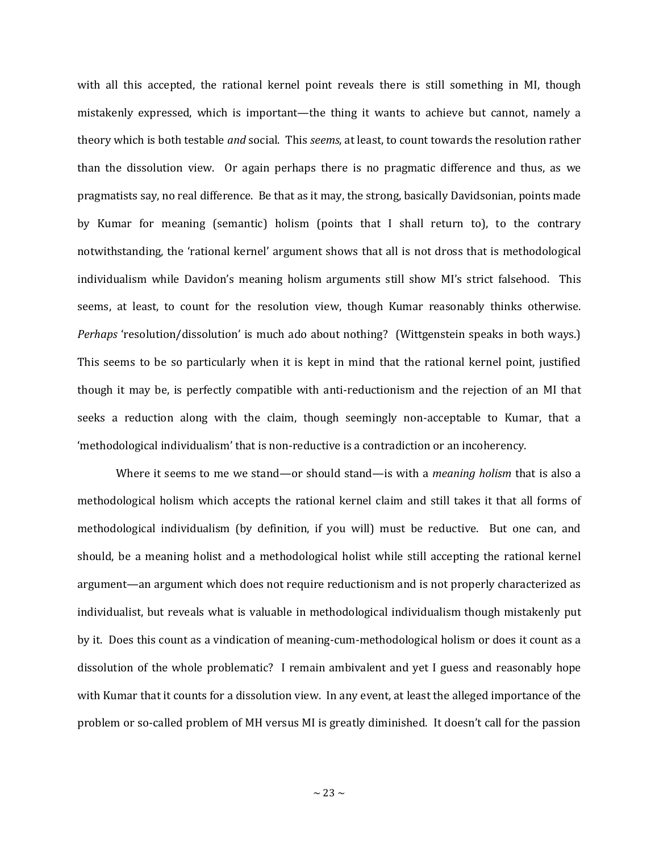with all this accepted, the rational kernel point reveals there is still something in MI, though mistakenly expressed, which is important—the thing it wants to achieve but cannot, namely a theory which is both testable *and* social. This *seems*, at least, to count towards the resolution rather than the dissolution view. Or again perhaps there is no pragmatic difference and thus, as we pragmatists say, no real difference. Be that as it may, the strong, basically Davidsonian, points made by Kumar for meaning (semantic) holism (points that I shall return to), to the contrary notwithstanding, the 'rational kernel' argument shows that all is not dross that is methodological individualism while Davidon's meaning holism arguments still show MI's strict falsehood. This seems, at least, to count for the resolution view, though Kumar reasonably thinks otherwise. *Perhaps* 'resolution/dissolution' is much ado about nothing? (Wittgenstein speaks in both ways.) This seems to be so particularly when it is kept in mind that the rational kernel point, justified though it may be, is perfectly compatible with anti-reductionism and the rejection of an MI that seeks a reduction along with the claim, though seemingly non-acceptable to Kumar, that a 'methodological individualism' that is non-reductive is a contradiction or an incoherency.

Where it seems to me we stand—or should stand—is with a *meaning holism* that is also a methodological holism which accepts the rational kernel claim and still takes it that all forms of methodological individualism (by definition, if you will) must be reductive. But one can, and should, be a meaning holist and a methodological holist while still accepting the rational kernel argument—an argument which does not require reductionism and is not properly characterized as individualist, but reveals what is valuable in methodological individualism though mistakenly put by it. Does this count as a vindication of meaning-cum-methodological holism or does it count as a dissolution of the whole problematic? I remain ambivalent and yet I guess and reasonably hope with Kumar that it counts for a dissolution view. In any event, at least the alleged importance of the problem or so-called problem of MH versus MI is greatly diminished. It doesn't call for the passion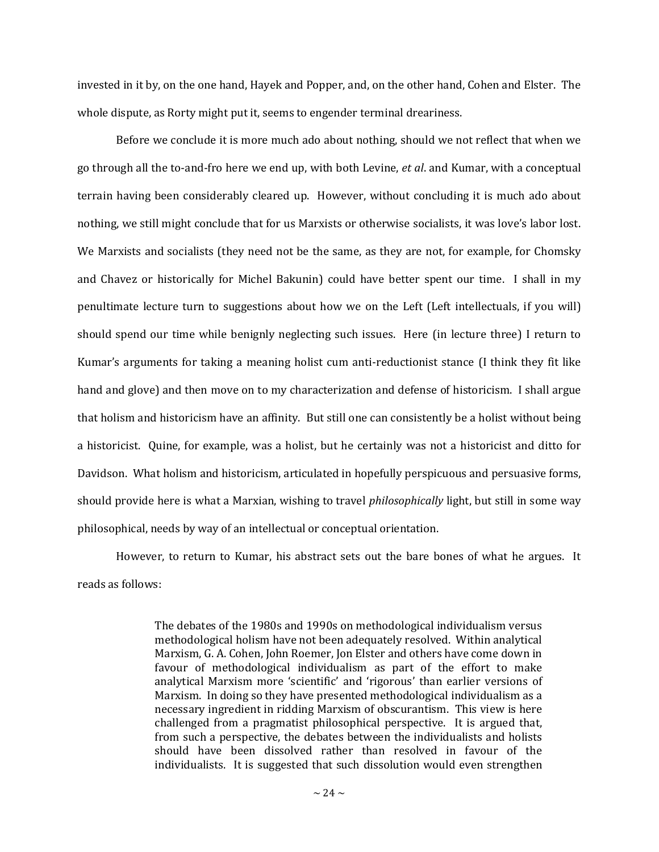invested in it by, on the one hand, Hayek and Popper, and, on the other hand, Cohen and Elster. The whole dispute, as Rorty might put it, seems to engender terminal dreariness.

Before we conclude it is more much ado about nothing, should we not reflect that when we go through all the to-and-fro here we end up, with both Levine, *et al*. and Kumar, with a conceptual terrain having been considerably cleared up. However, without concluding it is much ado about nothing, we still might conclude that for us Marxists or otherwise socialists, it was love's labor lost. We Marxists and socialists (they need not be the same, as they are not, for example, for Chomsky and Chavez or historically for Michel Bakunin) could have better spent our time. I shall in my penultimate lecture turn to suggestions about how we on the Left (Left intellectuals, if you will) should spend our time while benignly neglecting such issues. Here (in lecture three) I return to Kumar's arguments for taking a meaning holist cum anti-reductionist stance (I think they fit like hand and glove) and then move on to my characterization and defense of historicism. I shall argue that holism and historicism have an affinity. But still one can consistently be a holist without being a historicist. Quine, for example, was a holist, but he certainly was not a historicist and ditto for Davidson. What holism and historicism, articulated in hopefully perspicuous and persuasive forms, should provide here is what a Marxian, wishing to travel *philosophically* light, but still in some way philosophical, needs by way of an intellectual or conceptual orientation.

However, to return to Kumar, his abstract sets out the bare bones of what he argues. It reads as follows:

> The debates of the 1980s and 1990s on methodological individualism versus methodological holism have not been adequately resolved. Within analytical Marxism, G. A. Cohen, John Roemer, Jon Elster and others have come down in favour of methodological individualism as part of the effort to make analytical Marxism more 'scientific' and 'rigorous' than earlier versions of Marxism. In doing so they have presented methodological individualism as a necessary ingredient in ridding Marxism of obscurantism. This view is here challenged from a pragmatist philosophical perspective. It is argued that, from such a perspective, the debates between the individualists and holists should have been dissolved rather than resolved in favour of the individualists. It is suggested that such dissolution would even strengthen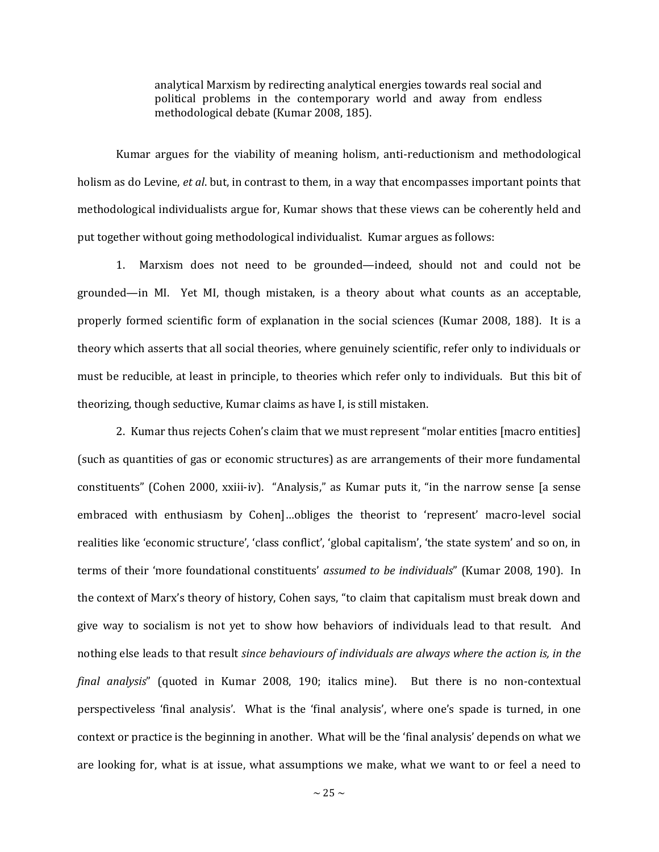analytical Marxism by redirecting analytical energies towards real social and political problems in the contemporary world and away from endless methodological debate (Kumar 2008, 185).

Kumar argues for the viability of meaning holism, anti-reductionism and methodological holism as do Levine, *et al*. but, in contrast to them, in a way that encompasses important points that methodological individualists argue for, Kumar shows that these views can be coherently held and put together without going methodological individualist. Kumar argues as follows:

1. Marxism does not need to be grounded—indeed, should not and could not be grounded—in MI. Yet MI, though mistaken, is a theory about what counts as an acceptable, properly formed scientific form of explanation in the social sciences (Kumar 2008, 188). It is a theory which asserts that all social theories, where genuinely scientific, refer only to individuals or must be reducible, at least in principle, to theories which refer only to individuals. But this bit of theorizing, though seductive, Kumar claims as have I, is still mistaken.

2. Kumar thus rejects Cohen's claim that we must represent "molar entities [macro entities] (such as quantities of gas or economic structures) as are arrangements of their more fundamental constituents" (Cohen 2000, xxiii-iv). "Analysis," as Kumar puts it, "in the narrow sense [a sense embraced with enthusiasm by Cohen]…obliges the theorist to 'represent' macro-level social realities like 'economic structure', 'class conflict', 'global capitalism', 'the state system' and so on, in terms of their 'more foundational constituents' *assumed to be individuals*" (Kumar 2008, 190). In the context of Marx's theory of history, Cohen says, "to claim that capitalism must break down and give way to socialism is not yet to show how behaviors of individuals lead to that result. And nothing else leads to that result *since behaviours of individuals are always where the action is, in the final analysis*" (quoted in Kumar 2008, 190; italics mine). But there is no non-contextual perspectiveless 'final analysis'. What is the 'final analysis', where one's spade is turned, in one context or practice is the beginning in another. What will be the 'final analysis' depends on what we are looking for, what is at issue, what assumptions we make, what we want to or feel a need to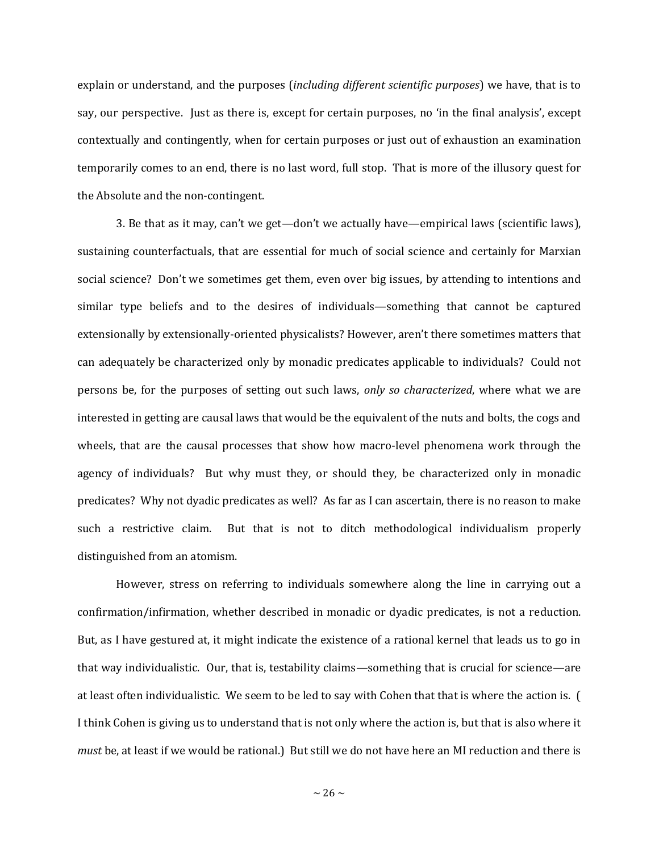explain or understand, and the purposes (*including different scientific purposes*) we have, that is to say, our perspective. Just as there is, except for certain purposes, no 'in the final analysis', except contextually and contingently, when for certain purposes or just out of exhaustion an examination temporarily comes to an end, there is no last word, full stop. That is more of the illusory quest for the Absolute and the non-contingent.

3. Be that as it may, can't we get—don't we actually have—empirical laws (scientific laws), sustaining counterfactuals, that are essential for much of social science and certainly for Marxian social science? Don't we sometimes get them, even over big issues, by attending to intentions and similar type beliefs and to the desires of individuals—something that cannot be captured extensionally by extensionally-oriented physicalists? However, aren't there sometimes matters that can adequately be characterized only by monadic predicates applicable to individuals? Could not persons be, for the purposes of setting out such laws, *only so characterized*, where what we are interested in getting are causal laws that would be the equivalent of the nuts and bolts, the cogs and wheels, that are the causal processes that show how macro-level phenomena work through the agency of individuals? But why must they, or should they, be characterized only in monadic predicates? Why not dyadic predicates as well? As far as I can ascertain, there is no reason to make such a restrictive claim. But that is not to ditch methodological individualism properly distinguished from an atomism.

However, stress on referring to individuals somewhere along the line in carrying out a confirmation/infirmation, whether described in monadic or dyadic predicates, is not a reduction. But, as I have gestured at, it might indicate the existence of a rational kernel that leads us to go in that way individualistic. Our, that is, testability claims—something that is crucial for science—are at least often individualistic. We seem to be led to say with Cohen that that is where the action is. ( I think Cohen is giving us to understand that is not only where the action is, but that is also where it *must* be, at least if we would be rational.) But still we do not have here an MI reduction and there is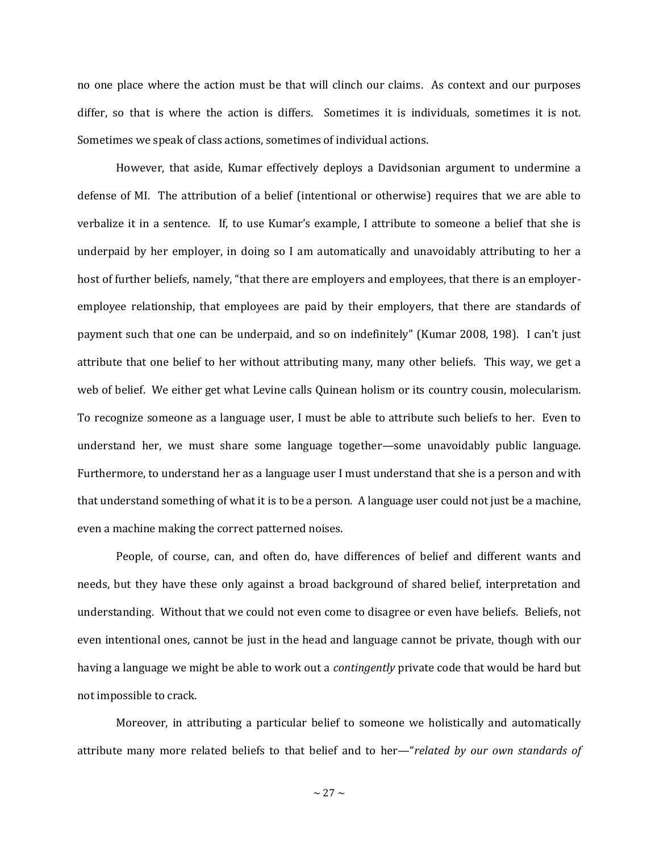no one place where the action must be that will clinch our claims. As context and our purposes differ, so that is where the action is differs. Sometimes it is individuals, sometimes it is not. Sometimes we speak of class actions, sometimes of individual actions.

However, that aside, Kumar effectively deploys a Davidsonian argument to undermine a defense of MI. The attribution of a belief (intentional or otherwise) requires that we are able to verbalize it in a sentence. If, to use Kumar's example, I attribute to someone a belief that she is underpaid by her employer, in doing so I am automatically and unavoidably attributing to her a host of further beliefs, namely, "that there are employers and employees, that there is an employeremployee relationship, that employees are paid by their employers, that there are standards of payment such that one can be underpaid, and so on indefinitely" (Kumar 2008, 198). I can't just attribute that one belief to her without attributing many, many other beliefs. This way, we get a web of belief. We either get what Levine calls Quinean holism or its country cousin, molecularism. To recognize someone as a language user, I must be able to attribute such beliefs to her. Even to understand her, we must share some language together—some unavoidably public language. Furthermore, to understand her as a language user I must understand that she is a person and with that understand something of what it is to be a person. A language user could not just be a machine, even a machine making the correct patterned noises.

People, of course, can, and often do, have differences of belief and different wants and needs, but they have these only against a broad background of shared belief, interpretation and understanding. Without that we could not even come to disagree or even have beliefs. Beliefs, not even intentional ones, cannot be just in the head and language cannot be private, though with our having a language we might be able to work out a *contingently* private code that would be hard but not impossible to crack.

Moreover, in attributing a particular belief to someone we holistically and automatically attribute many more related beliefs to that belief and to her—"*related by our own standards of* 

 $\sim$  27  $\sim$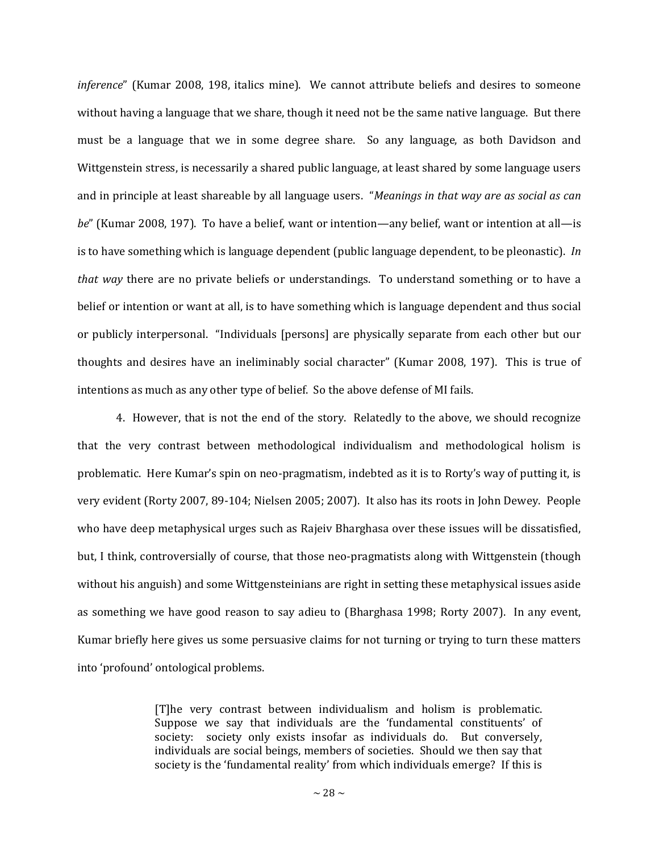*inference*" (Kumar 2008, 198, italics mine). We cannot attribute beliefs and desires to someone without having a language that we share, though it need not be the same native language. But there must be a language that we in some degree share. So any language, as both Davidson and Wittgenstein stress, is necessarily a shared public language, at least shared by some language users and in principle at least shareable by all language users. "*Meanings in that way are as social as can be*" (Kumar 2008, 197). To have a belief, want or intention—any belief, want or intention at all—is is to have something which is language dependent (public language dependent, to be pleonastic). *In that way* there are no private beliefs or understandings. To understand something or to have a belief or intention or want at all, is to have something which is language dependent and thus social or publicly interpersonal. "Individuals [persons] are physically separate from each other but our thoughts and desires have an ineliminably social character" (Kumar 2008, 197). This is true of intentions as much as any other type of belief. So the above defense of MI fails.

4. However, that is not the end of the story. Relatedly to the above, we should recognize that the very contrast between methodological individualism and methodological holism is problematic. Here Kumar's spin on neo-pragmatism, indebted as it is to Rorty's way of putting it, is very evident (Rorty 2007, 89-104; Nielsen 2005; 2007). It also has its roots in John Dewey. People who have deep metaphysical urges such as Rajeiv Bharghasa over these issues will be dissatisfied, but, I think, controversially of course, that those neo-pragmatists along with Wittgenstein (though without his anguish) and some Wittgensteinians are right in setting these metaphysical issues aside as something we have good reason to say adieu to (Bharghasa 1998; Rorty 2007). In any event, Kumar briefly here gives us some persuasive claims for not turning or trying to turn these matters into 'profound' ontological problems.

> [T]he very contrast between individualism and holism is problematic. Suppose we say that individuals are the 'fundamental constituents' of society: society only exists insofar as individuals do. But conversely, individuals are social beings, members of societies. Should we then say that society is the 'fundamental reality' from which individuals emerge? If this is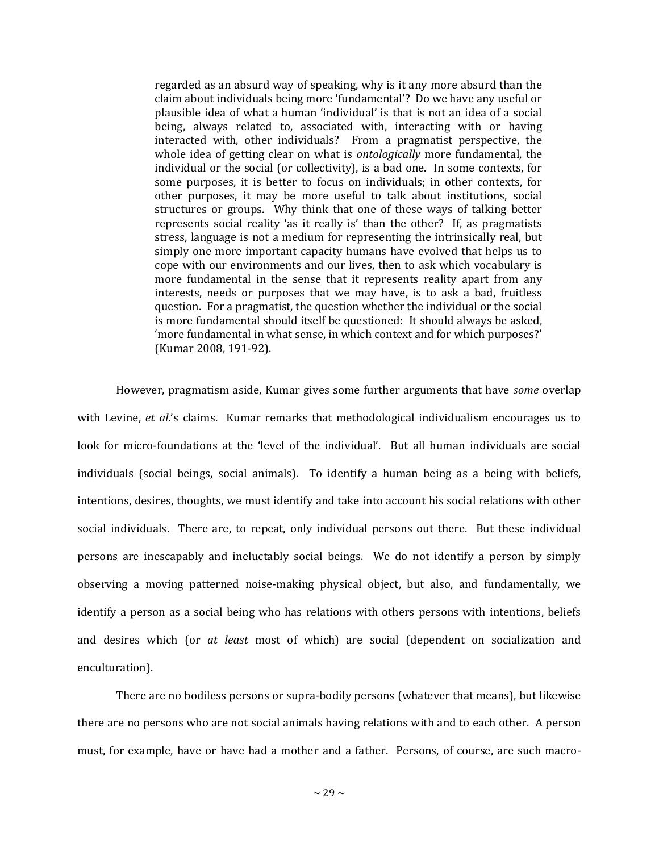regarded as an absurd way of speaking, why is it any more absurd than the claim about individuals being more 'fundamental'? Do we have any useful or plausible idea of what a human 'individual' is that is not an idea of a social being, always related to, associated with, interacting with or having interacted with, other individuals? From a pragmatist perspective, the whole idea of getting clear on what is *ontologically* more fundamental, the individual or the social (or collectivity), is a bad one. In some contexts, for some purposes, it is better to focus on individuals; in other contexts, for other purposes, it may be more useful to talk about institutions, social structures or groups. Why think that one of these ways of talking better represents social reality 'as it really is' than the other? If, as pragmatists stress, language is not a medium for representing the intrinsically real, but simply one more important capacity humans have evolved that helps us to cope with our environments and our lives, then to ask which vocabulary is more fundamental in the sense that it represents reality apart from any interests, needs or purposes that we may have, is to ask a bad, fruitless question. For a pragmatist, the question whether the individual or the social is more fundamental should itself be questioned: It should always be asked, 'more fundamental in what sense, in which context and for which purposes?' (Kumar 2008, 191-92).

However, pragmatism aside, Kumar gives some further arguments that have *some* overlap with Levine, *et al.*'s claims. Kumar remarks that methodological individualism encourages us to look for micro-foundations at the 'level of the individual'. But all human individuals are social individuals (social beings, social animals). To identify a human being as a being with beliefs, intentions, desires, thoughts, we must identify and take into account his social relations with other social individuals. There are, to repeat, only individual persons out there. But these individual persons are inescapably and ineluctably social beings. We do not identify a person by simply observing a moving patterned noise-making physical object, but also, and fundamentally, we identify a person as a social being who has relations with others persons with intentions, beliefs and desires which (or *at least* most of which) are social (dependent on socialization and enculturation).

There are no bodiless persons or supra-bodily persons (whatever that means), but likewise there are no persons who are not social animals having relations with and to each other. A person must, for example, have or have had a mother and a father. Persons, of course, are such macro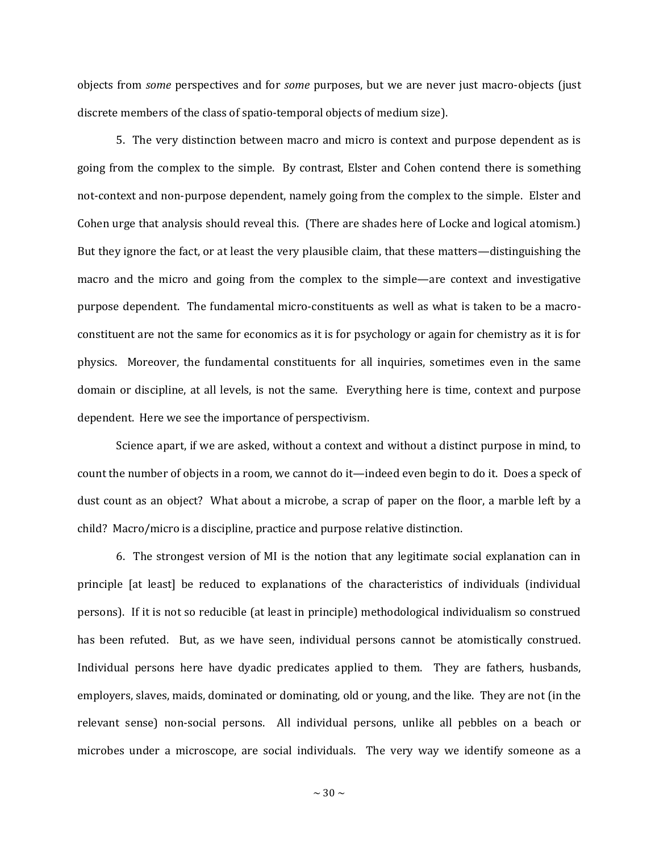objects from *some* perspectives and for *some* purposes, but we are never just macro-objects (just discrete members of the class of spatio-temporal objects of medium size).

5. The very distinction between macro and micro is context and purpose dependent as is going from the complex to the simple. By contrast, Elster and Cohen contend there is something not-context and non-purpose dependent, namely going from the complex to the simple. Elster and Cohen urge that analysis should reveal this. (There are shades here of Locke and logical atomism.) But they ignore the fact, or at least the very plausible claim, that these matters—distinguishing the macro and the micro and going from the complex to the simple—are context and investigative purpose dependent. The fundamental micro-constituents as well as what is taken to be a macroconstituent are not the same for economics as it is for psychology or again for chemistry as it is for physics. Moreover, the fundamental constituents for all inquiries, sometimes even in the same domain or discipline, at all levels, is not the same. Everything here is time, context and purpose dependent. Here we see the importance of perspectivism.

Science apart, if we are asked, without a context and without a distinct purpose in mind, to count the number of objects in a room, we cannot do it—indeed even begin to do it. Does a speck of dust count as an object? What about a microbe, a scrap of paper on the floor, a marble left by a child? Macro/micro is a discipline, practice and purpose relative distinction.

6. The strongest version of MI is the notion that any legitimate social explanation can in principle [at least] be reduced to explanations of the characteristics of individuals (individual persons). If it is not so reducible (at least in principle) methodological individualism so construed has been refuted. But, as we have seen, individual persons cannot be atomistically construed. Individual persons here have dyadic predicates applied to them. They are fathers, husbands, employers, slaves, maids, dominated or dominating, old or young, and the like. They are not (in the relevant sense) non-social persons. All individual persons, unlike all pebbles on a beach or microbes under a microscope, are social individuals. The very way we identify someone as a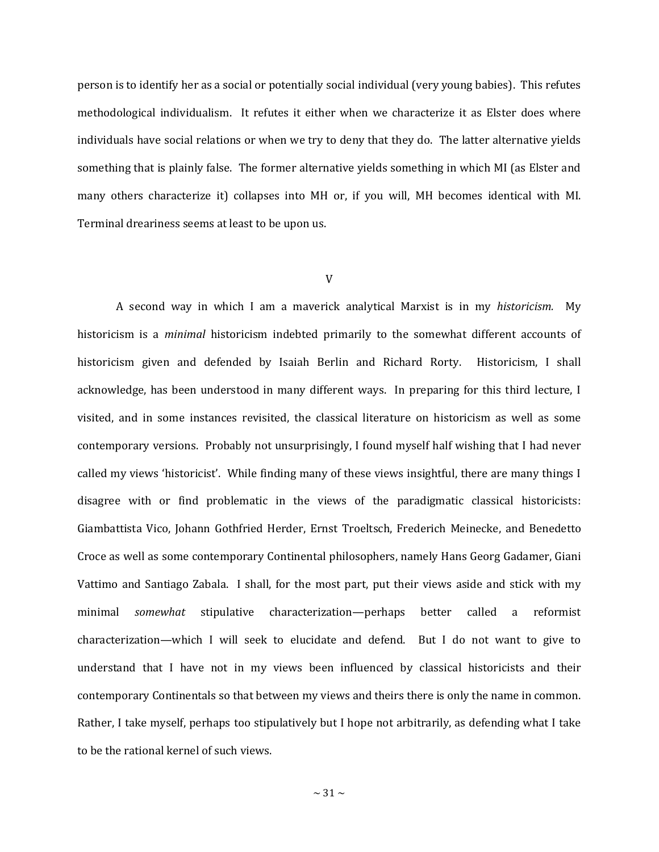person is to identify her as a social or potentially social individual (very young babies). This refutes methodological individualism. It refutes it either when we characterize it as Elster does where individuals have social relations or when we try to deny that they do. The latter alternative yields something that is plainly false. The former alternative yields something in which MI (as Elster and many others characterize it) collapses into MH or, if you will, MH becomes identical with MI. Terminal dreariness seems at least to be upon us.

#### V

A second way in which I am a maverick analytical Marxist is in my *historicism.* My historicism is a *minimal* historicism indebted primarily to the somewhat different accounts of historicism given and defended by Isaiah Berlin and Richard Rorty. Historicism, I shall acknowledge, has been understood in many different ways. In preparing for this third lecture, I visited, and in some instances revisited, the classical literature on historicism as well as some contemporary versions. Probably not unsurprisingly, I found myself half wishing that I had never called my views 'historicist'. While finding many of these views insightful, there are many things I disagree with or find problematic in the views of the paradigmatic classical historicists: Giambattista Vico, Johann Gothfried Herder, Ernst Troeltsch, Frederich Meinecke, and Benedetto Croce as well as some contemporary Continental philosophers, namely Hans Georg Gadamer, Giani Vattimo and Santiago Zabala. I shall, for the most part, put their views aside and stick with my minimal *somewhat* stipulative characterization—perhaps better called a reformist characterization—which I will seek to elucidate and defend. But I do not want to give to understand that I have not in my views been influenced by classical historicists and their contemporary Continentals so that between my views and theirs there is only the name in common. Rather, I take myself, perhaps too stipulatively but I hope not arbitrarily, as defending what I take to be the rational kernel of such views.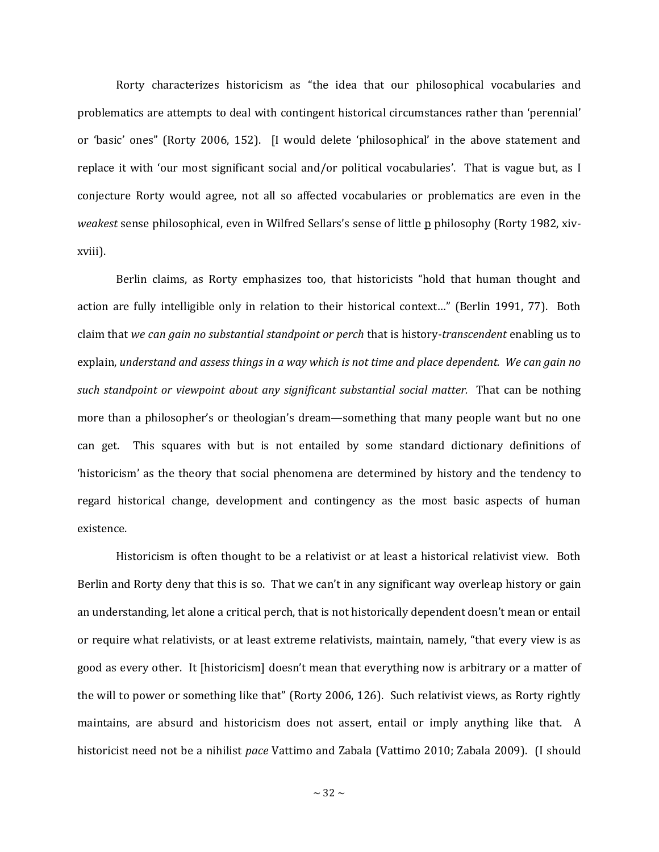Rorty characterizes historicism as "the idea that our philosophical vocabularies and problematics are attempts to deal with contingent historical circumstances rather than 'perennial' or 'basic' ones" (Rorty 2006, 152). [I would delete 'philosophical' in the above statement and replace it with 'our most significant social and/or political vocabularies'. That is vague but, as I conjecture Rorty would agree, not all so affected vocabularies or problematics are even in the *weakest* sense philosophical, even in Wilfred Sellars's sense of little p philosophy (Rorty 1982, xivxviii).

Berlin claims, as Rorty emphasizes too, that historicists "hold that human thought and action are fully intelligible only in relation to their historical context…" (Berlin 1991, 77). Both claim that *we can gain no substantial standpoint or perch* that is history-*transcendent* enabling us to explain, *understand and assess things in a way which is not time and place dependent. We can gain no such standpoint or viewpoint about any significant substantial social matter.* That can be nothing more than a philosopher's or theologian's dream—something that many people want but no one can get. This squares with but is not entailed by some standard dictionary definitions of 'historicism' as the theory that social phenomena are determined by history and the tendency to regard historical change, development and contingency as the most basic aspects of human existence.

Historicism is often thought to be a relativist or at least a historical relativist view. Both Berlin and Rorty deny that this is so. That we can't in any significant way overleap history or gain an understanding, let alone a critical perch, that is not historically dependent doesn't mean or entail or require what relativists, or at least extreme relativists, maintain, namely, "that every view is as good as every other. It [historicism] doesn't mean that everything now is arbitrary or a matter of the will to power or something like that" (Rorty 2006, 126). Such relativist views, as Rorty rightly maintains, are absurd and historicism does not assert, entail or imply anything like that. A historicist need not be a nihilist *pace* Vattimo and Zabala (Vattimo 2010; Zabala 2009). (I should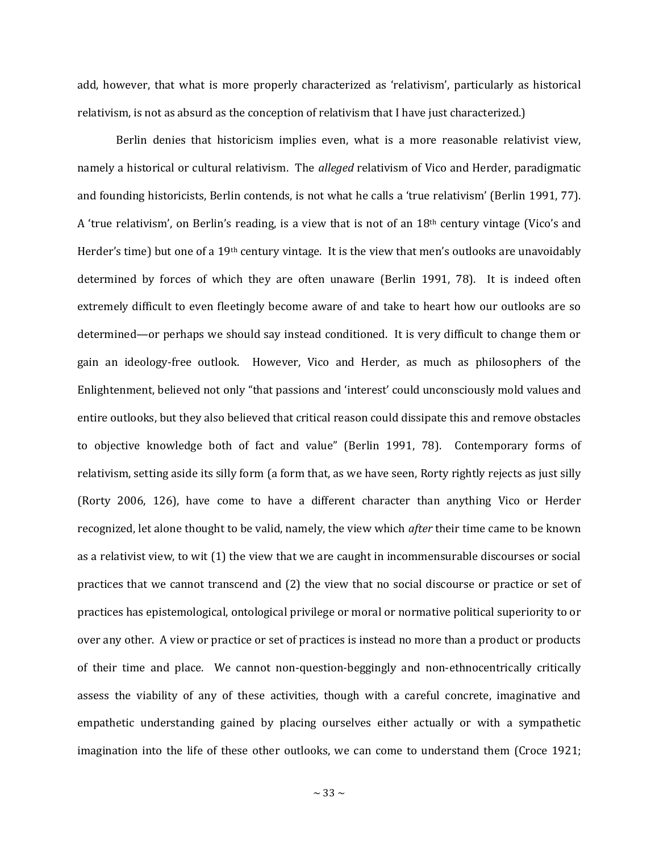add, however, that what is more properly characterized as 'relativism', particularly as historical relativism, is not as absurd as the conception of relativism that I have just characterized.)

Berlin denies that historicism implies even, what is a more reasonable relativist view, namely a historical or cultural relativism. The *alleged* relativism of Vico and Herder, paradigmatic and founding historicists, Berlin contends, is not what he calls a 'true relativism' (Berlin 1991, 77). A 'true relativism', on Berlin's reading, is a view that is not of an  $18<sup>th</sup>$  century vintage (Vico's and Herder's time) but one of a 19th century vintage. It is the view that men's outlooks are unavoidably determined by forces of which they are often unaware (Berlin 1991, 78). It is indeed often extremely difficult to even fleetingly become aware of and take to heart how our outlooks are so determined—or perhaps we should say instead conditioned. It is very difficult to change them or gain an ideology-free outlook. However, Vico and Herder, as much as philosophers of the Enlightenment, believed not only "that passions and 'interest' could unconsciously mold values and entire outlooks, but they also believed that critical reason could dissipate this and remove obstacles to objective knowledge both of fact and value" (Berlin 1991, 78). Contemporary forms of relativism, setting aside its silly form (a form that, as we have seen, Rorty rightly rejects as just silly (Rorty 2006, 126), have come to have a different character than anything Vico or Herder recognized, let alone thought to be valid, namely, the view which *after* their time came to be known as a relativist view, to wit (1) the view that we are caught in incommensurable discourses or social practices that we cannot transcend and (2) the view that no social discourse or practice or set of practices has epistemological, ontological privilege or moral or normative political superiority to or over any other. A view or practice or set of practices is instead no more than a product or products of their time and place. We cannot non-question-beggingly and non-ethnocentrically critically assess the viability of any of these activities, though with a careful concrete, imaginative and empathetic understanding gained by placing ourselves either actually or with a sympathetic imagination into the life of these other outlooks, we can come to understand them (Croce 1921;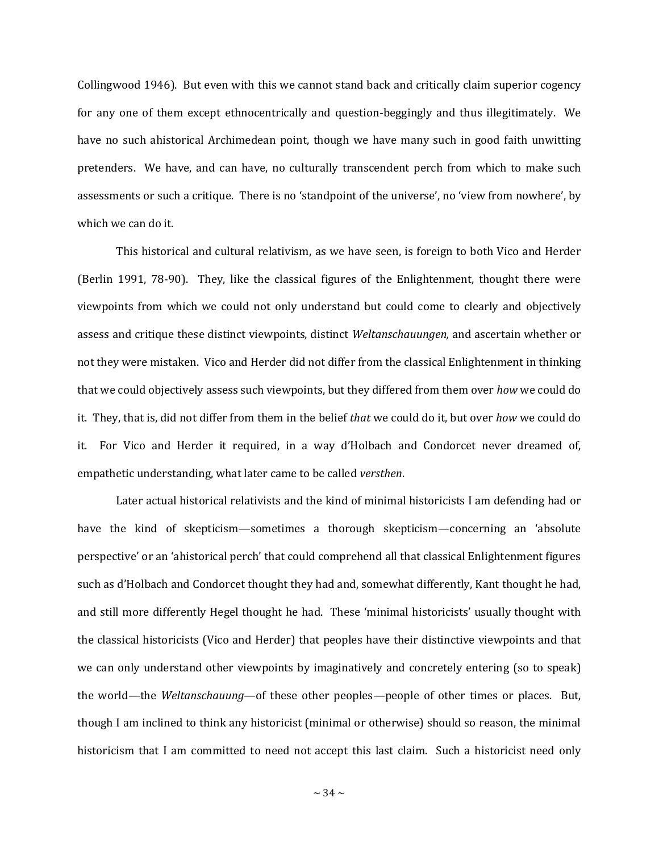Collingwood 1946). But even with this we cannot stand back and critically claim superior cogency for any one of them except ethnocentrically and question-beggingly and thus illegitimately. We have no such ahistorical Archimedean point, though we have many such in good faith unwitting pretenders. We have, and can have, no culturally transcendent perch from which to make such assessments or such a critique. There is no 'standpoint of the universe', no 'view from nowhere', by which we can do it.

This historical and cultural relativism, as we have seen, is foreign to both Vico and Herder (Berlin 1991, 78-90). They, like the classical figures of the Enlightenment, thought there were viewpoints from which we could not only understand but could come to clearly and objectively assess and critique these distinct viewpoints, distinct *Weltanschauungen,* and ascertain whether or not they were mistaken. Vico and Herder did not differ from the classical Enlightenment in thinking that we could objectively assess such viewpoints, but they differed from them over *how* we could do it. They, that is, did not differ from them in the belief *that* we could do it, but over *how* we could do it. For Vico and Herder it required, in a way d'Holbach and Condorcet never dreamed of, empathetic understanding, what later came to be called *versthen*.

Later actual historical relativists and the kind of minimal historicists I am defending had or have the kind of skepticism—sometimes a thorough skepticism—concerning an 'absolute perspective' or an 'ahistorical perch' that could comprehend all that classical Enlightenment figures such as d'Holbach and Condorcet thought they had and, somewhat differently, Kant thought he had, and still more differently Hegel thought he had. These 'minimal historicists' usually thought with the classical historicists (Vico and Herder) that peoples have their distinctive viewpoints and that we can only understand other viewpoints by imaginatively and concretely entering (so to speak) the world—the *Weltanschauung*—of these other peoples—people of other times or places. But, though I am inclined to think any historicist (minimal or otherwise) should so reason, the minimal historicism that I am committed to need not accept this last claim. Such a historicist need only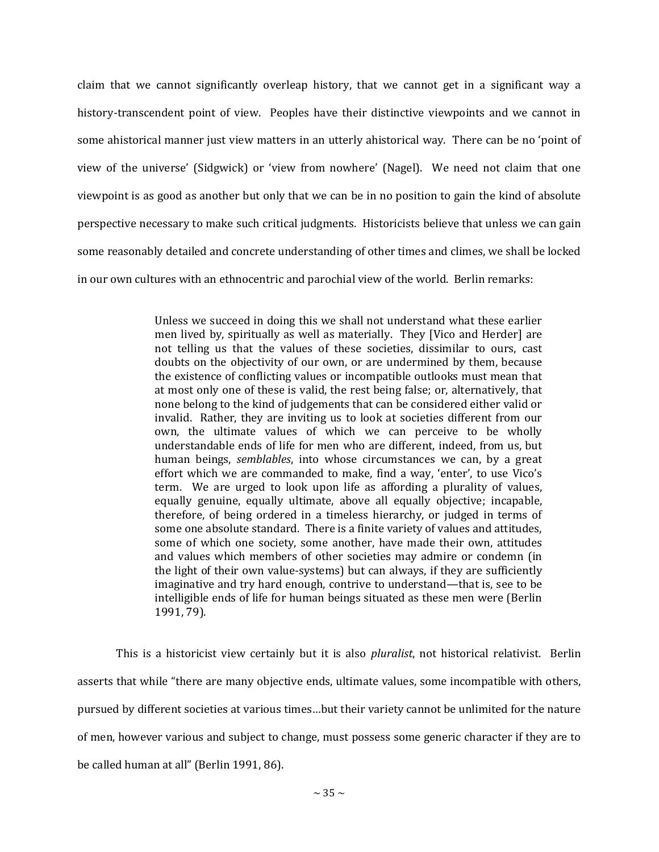claim that we cannot significantly overleap history, that we cannot get in a significant way a history-transcendent point of view. Peoples have their distinctive viewpoints and we cannot in some ahistorical manner just view matters in an utterly ahistorical way. There can be no 'point of view of the universe' (Sidgwick) or 'view from nowhere' (Nagel). We need not claim that one viewpoint is as good as another but only that we can be in no position to gain the kind of absolute perspective necessary to make such critical judgments. Historicists believe that unless we can gain some reasonably detailed and concrete understanding of other times and climes, we shall be locked in our own cultures with an ethnocentric and parochial view of the world. Berlin remarks:

> Unless we succeed in doing this we shall not understand what these earlier men lived by, spiritually as well as materially. They [Vico and Herder] are not telling us that the values of these societies, dissimilar to ours, cast doubts on the objectivity of our own, or are undermined by them, because the existence of conflicting values or incompatible outlooks must mean that at most only one of these is valid, the rest being false; or, alternatively, that none belong to the kind of judgements that can be considered either valid or invalid. Rather, they are inviting us to look at societies different from our own, the ultimate values of which we can perceive to be wholly understandable ends of life for men who are different, indeed, from us, but human beings, *semblables*, into whose circumstances we can, by a great effort which we are commanded to make, find a way, 'enter', to use Vico's term. We are urged to look upon life as affording a plurality of values, equally genuine, equally ultimate, above all equally objective; incapable, therefore, of being ordered in a timeless hierarchy, or judged in terms of some one absolute standard. There is a finite variety of values and attitudes, some of which one society, some another, have made their own, attitudes and values which members of other societies may admire or condemn (in the light of their own value-systems) but can always, if they are sufficiently imaginative and try hard enough, contrive to understand—that is, see to be intelligible ends of life for human beings situated as these men were (Berlin 1991, 79).

This is a historicist view certainly but it is also *pluralist*, not historical relativist. Berlin asserts that while "there are many objective ends, ultimate values, some incompatible with others, pursued by different societies at various times…but their variety cannot be unlimited for the nature of men, however various and subject to change, must possess some generic character if they are to be called human at all" (Berlin 1991, 86).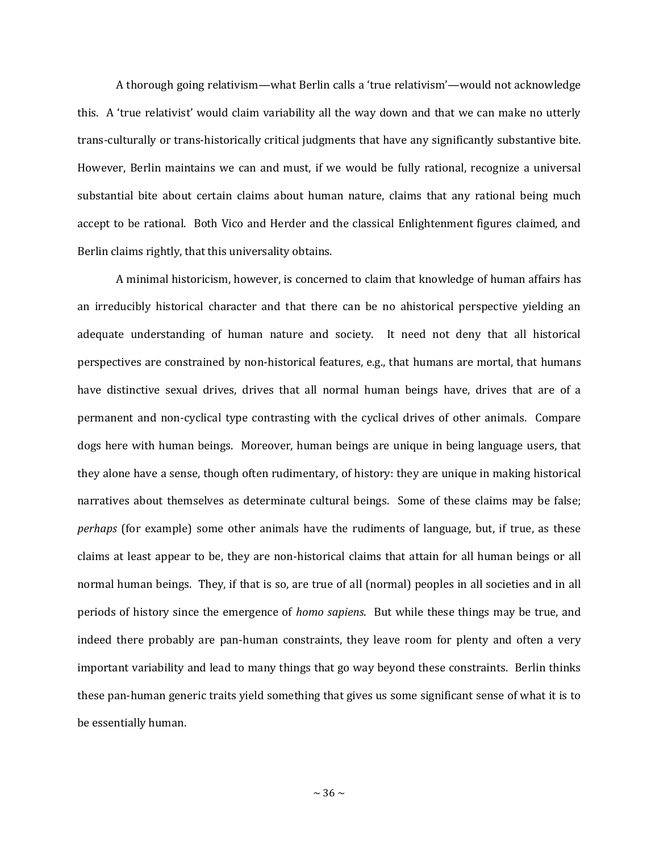A thorough going relativism—what Berlin calls a 'true relativism'—would not acknowledge this. A 'true relativist' would claim variability all the way down and that we can make no utterly trans-culturally or trans-historically critical judgments that have any significantly substantive bite. However, Berlin maintains we can and must, if we would be fully rational, recognize a universal substantial bite about certain claims about human nature, claims that any rational being much accept to be rational. Both Vico and Herder and the classical Enlightenment figures claimed, and Berlin claims rightly, that this universality obtains.

A minimal historicism, however, is concerned to claim that knowledge of human affairs has an irreducibly historical character and that there can be no ahistorical perspective yielding an adequate understanding of human nature and society. It need not deny that all historical perspectives are constrained by non-historical features, e.g., that humans are mortal, that humans have distinctive sexual drives, drives that all normal human beings have, drives that are of a permanent and non-cyclical type contrasting with the cyclical drives of other animals. Compare dogs here with human beings. Moreover, human beings are unique in being language users, that they alone have a sense, though often rudimentary, of history: they are unique in making historical narratives about themselves as determinate cultural beings. Some of these claims may be false; *perhaps* (for example) some other animals have the rudiments of language, but, if true, as these claims at least appear to be, they are non-historical claims that attain for all human beings or all normal human beings. They, if that is so, are true of all (normal) peoples in all societies and in all periods of history since the emergence of *homo sapiens*. But while these things may be true, and indeed there probably are pan-human constraints, they leave room for plenty and often a very important variability and lead to many things that go way beyond these constraints. Berlin thinks these pan-human generic traits yield something that gives us some significant sense of what it is to be essentially human.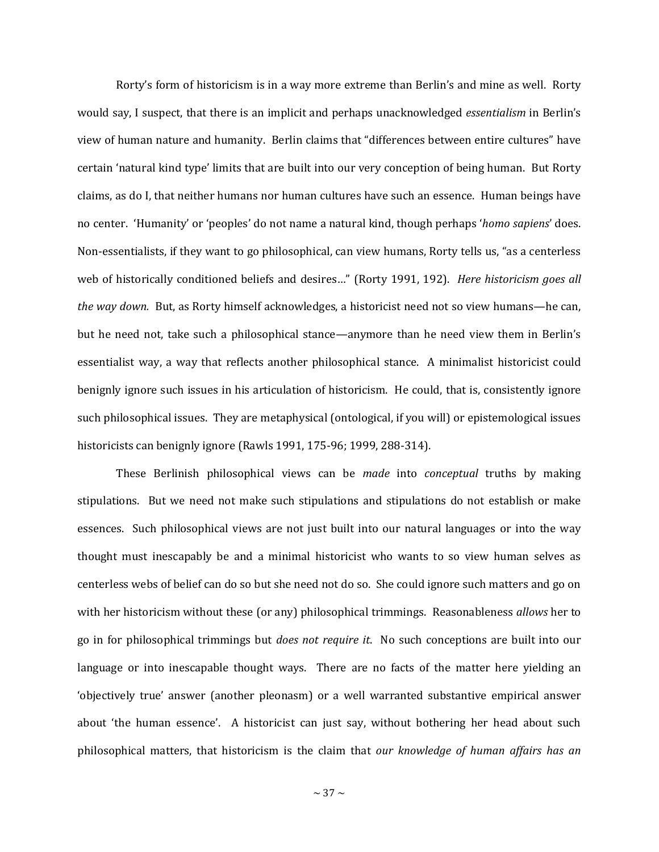Rorty's form of historicism is in a way more extreme than Berlin's and mine as well. Rorty would say, I suspect, that there is an implicit and perhaps unacknowledged *essentialism* in Berlin's view of human nature and humanity. Berlin claims that "differences between entire cultures" have certain 'natural kind type' limits that are built into our very conception of being human. But Rorty claims, as do I, that neither humans nor human cultures have such an essence. Human beings have no center. 'Humanity' or 'peoples' do not name a natural kind, though perhaps '*homo sapiens*' does. Non-essentialists, if they want to go philosophical, can view humans, Rorty tells us, "as a centerless web of historically conditioned beliefs and desires…" (Rorty 1991, 192). *Here historicism goes all the way down.* But, as Rorty himself acknowledges, a historicist need not so view humans—he can, but he need not, take such a philosophical stance—anymore than he need view them in Berlin's essentialist way, a way that reflects another philosophical stance. A minimalist historicist could benignly ignore such issues in his articulation of historicism. He could, that is, consistently ignore such philosophical issues. They are metaphysical (ontological, if you will) or epistemological issues historicists can benignly ignore (Rawls 1991, 175-96; 1999, 288-314).

These Berlinish philosophical views can be *made* into *conceptual* truths by making stipulations. But we need not make such stipulations and stipulations do not establish or make essences. Such philosophical views are not just built into our natural languages or into the way thought must inescapably be and a minimal historicist who wants to so view human selves as centerless webs of belief can do so but she need not do so. She could ignore such matters and go on with her historicism without these (or any) philosophical trimmings. Reasonableness *allows* her to go in for philosophical trimmings but *does not require it*. No such conceptions are built into our language or into inescapable thought ways. There are no facts of the matter here yielding an 'objectively true' answer (another pleonasm) or a well warranted substantive empirical answer about 'the human essence'. A historicist can just say, without bothering her head about such philosophical matters, that historicism is the claim that *our knowledge of human affairs has an*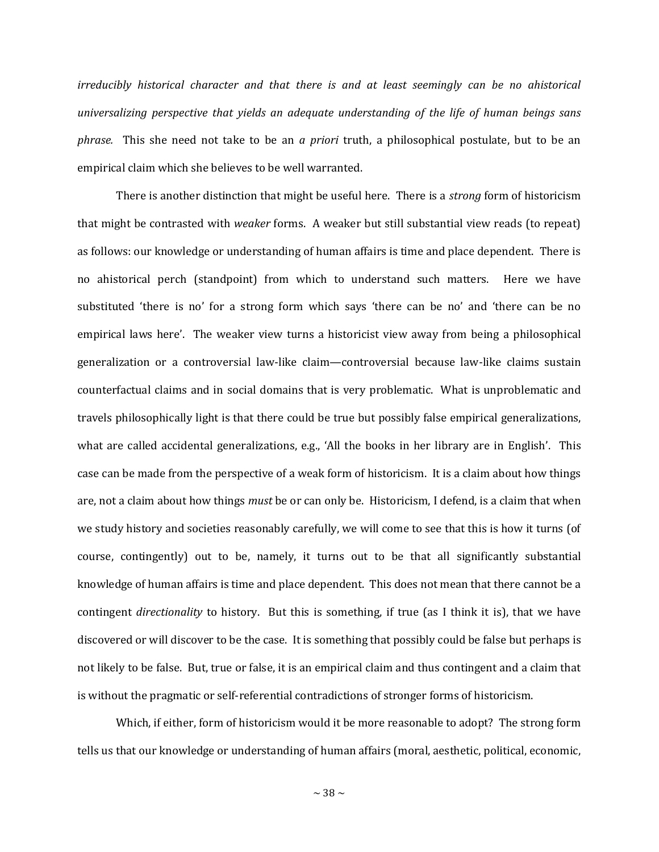*irreducibly historical character and that there is and at least seemingly can be no ahistorical universalizing perspective that yields an adequate understanding of the life of human beings sans phrase.* This she need not take to be an *a priori* truth, a philosophical postulate, but to be an empirical claim which she believes to be well warranted.

There is another distinction that might be useful here. There is a *strong* form of historicism that might be contrasted with *weaker* forms. A weaker but still substantial view reads (to repeat) as follows: our knowledge or understanding of human affairs is time and place dependent. There is no ahistorical perch (standpoint) from which to understand such matters. Here we have substituted 'there is no' for a strong form which says 'there can be no' and 'there can be no empirical laws here'. The weaker view turns a historicist view away from being a philosophical generalization or a controversial law-like claim—controversial because law-like claims sustain counterfactual claims and in social domains that is very problematic. What is unproblematic and travels philosophically light is that there could be true but possibly false empirical generalizations, what are called accidental generalizations, e.g., 'All the books in her library are in English'. This case can be made from the perspective of a weak form of historicism. It is a claim about how things are, not a claim about how things *must* be or can only be. Historicism, I defend, is a claim that when we study history and societies reasonably carefully, we will come to see that this is how it turns (of course, contingently) out to be, namely, it turns out to be that all significantly substantial knowledge of human affairs is time and place dependent. This does not mean that there cannot be a contingent *directionality* to history. But this is something, if true (as I think it is), that we have discovered or will discover to be the case. It is something that possibly could be false but perhaps is not likely to be false. But, true or false, it is an empirical claim and thus contingent and a claim that is without the pragmatic or self-referential contradictions of stronger forms of historicism.

Which, if either, form of historicism would it be more reasonable to adopt? The strong form tells us that our knowledge or understanding of human affairs (moral, aesthetic, political, economic,

 $\sim$  38  $\sim$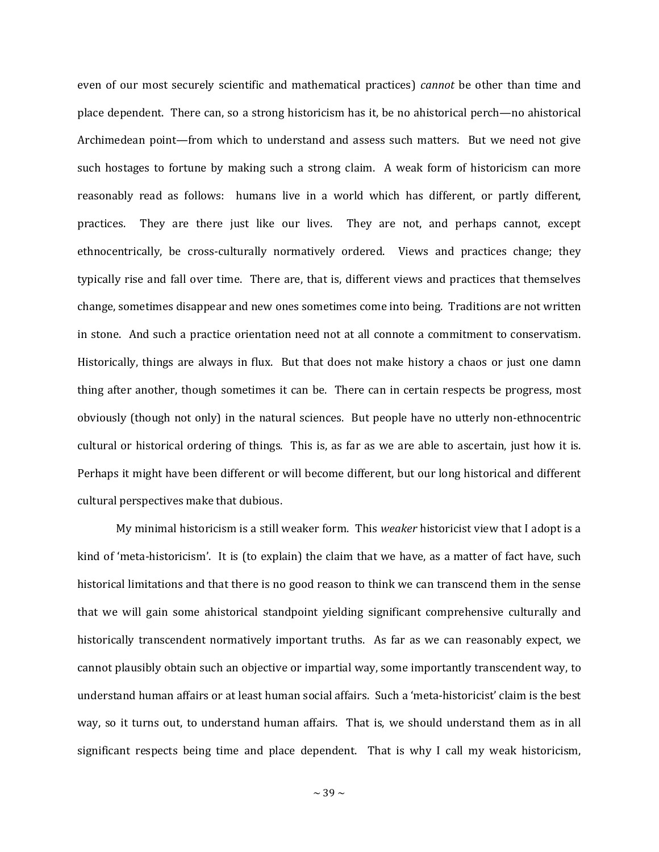even of our most securely scientific and mathematical practices) *cannot* be other than time and place dependent. There can, so a strong historicism has it, be no ahistorical perch—no ahistorical Archimedean point—from which to understand and assess such matters. But we need not give such hostages to fortune by making such a strong claim. A weak form of historicism can more reasonably read as follows: humans live in a world which has different, or partly different, practices. They are there just like our lives. They are not, and perhaps cannot, except ethnocentrically, be cross-culturally normatively ordered. Views and practices change; they typically rise and fall over time. There are, that is, different views and practices that themselves change, sometimes disappear and new ones sometimes come into being. Traditions are not written in stone. And such a practice orientation need not at all connote a commitment to conservatism. Historically, things are always in flux. But that does not make history a chaos or just one damn thing after another, though sometimes it can be. There can in certain respects be progress, most obviously (though not only) in the natural sciences. But people have no utterly non-ethnocentric cultural or historical ordering of things. This is, as far as we are able to ascertain, just how it is. Perhaps it might have been different or will become different, but our long historical and different cultural perspectives make that dubious.

My minimal historicism is a still weaker form. This *weaker* historicist view that I adopt is a kind of 'meta-historicism'. It is (to explain) the claim that we have, as a matter of fact have, such historical limitations and that there is no good reason to think we can transcend them in the sense that we will gain some ahistorical standpoint yielding significant comprehensive culturally and historically transcendent normatively important truths. As far as we can reasonably expect, we cannot plausibly obtain such an objective or impartial way, some importantly transcendent way, to understand human affairs or at least human social affairs. Such a 'meta-historicist' claim is the best way, so it turns out, to understand human affairs. That is, we should understand them as in all significant respects being time and place dependent. That is why I call my weak historicism,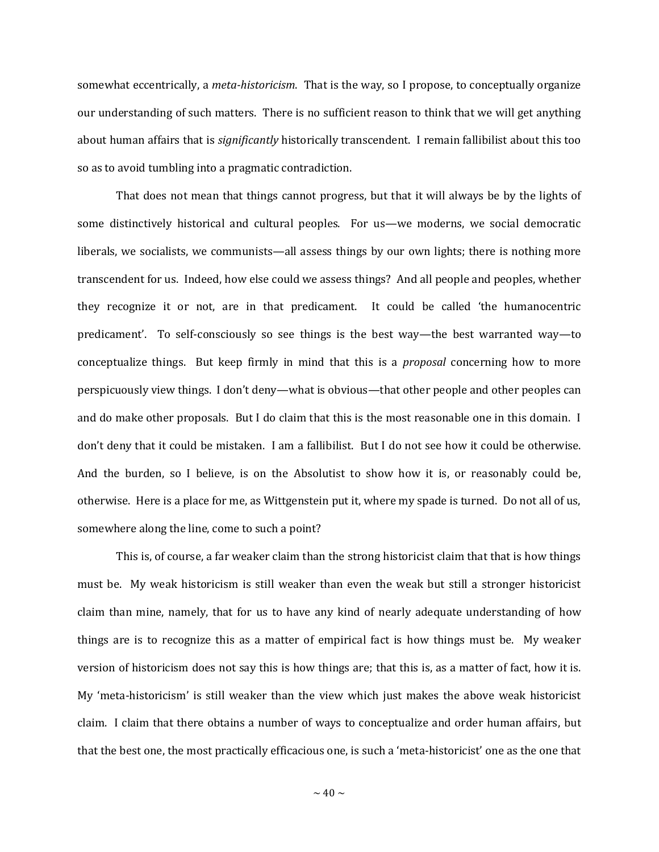somewhat eccentrically, a *meta-historicism*. That is the way, so I propose, to conceptually organize our understanding of such matters. There is no sufficient reason to think that we will get anything about human affairs that is *significantly* historically transcendent. I remain fallibilist about this too so as to avoid tumbling into a pragmatic contradiction.

That does not mean that things cannot progress, but that it will always be by the lights of some distinctively historical and cultural peoples. For us—we moderns, we social democratic liberals, we socialists, we communists—all assess things by our own lights; there is nothing more transcendent for us. Indeed, how else could we assess things? And all people and peoples, whether they recognize it or not, are in that predicament. It could be called 'the humanocentric predicament'. To self-consciously so see things is the best way—the best warranted way—to conceptualize things. But keep firmly in mind that this is a *proposal* concerning how to more perspicuously view things. I don't deny—what is obvious—that other people and other peoples can and do make other proposals. But I do claim that this is the most reasonable one in this domain. I don't deny that it could be mistaken. I am a fallibilist. But I do not see how it could be otherwise. And the burden, so I believe, is on the Absolutist to show how it is, or reasonably could be, otherwise. Here is a place for me, as Wittgenstein put it, where my spade is turned. Do not all of us, somewhere along the line, come to such a point?

This is, of course, a far weaker claim than the strong historicist claim that that is how things must be. My weak historicism is still weaker than even the weak but still a stronger historicist claim than mine, namely, that for us to have any kind of nearly adequate understanding of how things are is to recognize this as a matter of empirical fact is how things must be. My weaker version of historicism does not say this is how things are; that this is, as a matter of fact, how it is. My 'meta-historicism' is still weaker than the view which just makes the above weak historicist claim. I claim that there obtains a number of ways to conceptualize and order human affairs, but that the best one, the most practically efficacious one, is such a 'meta-historicist' one as the one that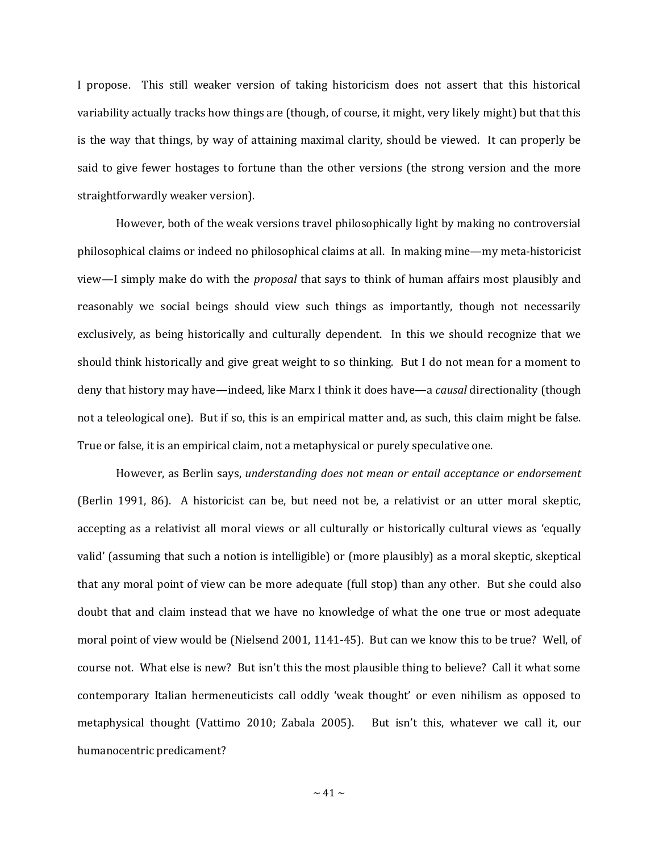I propose. This still weaker version of taking historicism does not assert that this historical variability actually tracks how things are (though, of course, it might, very likely might) but that this is the way that things, by way of attaining maximal clarity, should be viewed. It can properly be said to give fewer hostages to fortune than the other versions (the strong version and the more straightforwardly weaker version).

However, both of the weak versions travel philosophically light by making no controversial philosophical claims or indeed no philosophical claims at all. In making mine—my meta-historicist view—I simply make do with the *proposal* that says to think of human affairs most plausibly and reasonably we social beings should view such things as importantly, though not necessarily exclusively, as being historically and culturally dependent. In this we should recognize that we should think historically and give great weight to so thinking. But I do not mean for a moment to deny that history may have—indeed, like Marx I think it does have—a *causal* directionality (though not a teleological one). But if so, this is an empirical matter and, as such, this claim might be false. True or false, it is an empirical claim, not a metaphysical or purely speculative one.

However, as Berlin says, *understanding does not mean or entail acceptance or endorsement* (Berlin 1991, 86). A historicist can be, but need not be, a relativist or an utter moral skeptic, accepting as a relativist all moral views or all culturally or historically cultural views as 'equally valid' (assuming that such a notion is intelligible) or (more plausibly) as a moral skeptic, skeptical that any moral point of view can be more adequate (full stop) than any other. But she could also doubt that and claim instead that we have no knowledge of what the one true or most adequate moral point of view would be (Nielsend 2001, 1141-45). But can we know this to be true? Well, of course not. What else is new? But isn't this the most plausible thing to believe? Call it what some contemporary Italian hermeneuticists call oddly 'weak thought' or even nihilism as opposed to metaphysical thought (Vattimo 2010; Zabala 2005). But isn't this, whatever we call it, our humanocentric predicament?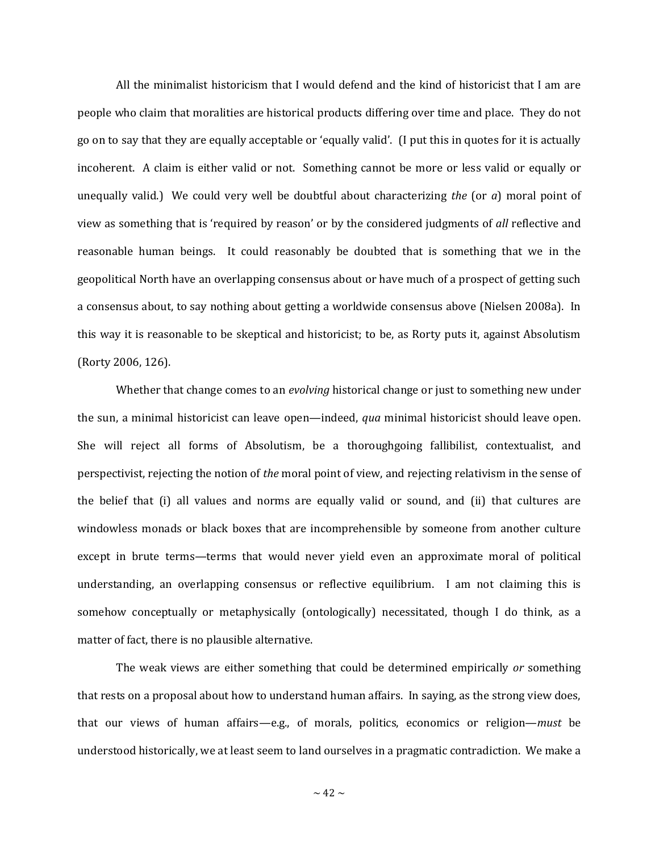All the minimalist historicism that I would defend and the kind of historicist that I am are people who claim that moralities are historical products differing over time and place. They do not go on to say that they are equally acceptable or 'equally valid'. (I put this in quotes for it is actually incoherent. A claim is either valid or not. Something cannot be more or less valid or equally or unequally valid.) We could very well be doubtful about characterizing *the* (or *a*) moral point of view as something that is 'required by reason' or by the considered judgments of *all* reflective and reasonable human beings. It could reasonably be doubted that is something that we in the geopolitical North have an overlapping consensus about or have much of a prospect of getting such a consensus about, to say nothing about getting a worldwide consensus above (Nielsen 2008a). In this way it is reasonable to be skeptical and historicist; to be, as Rorty puts it, against Absolutism (Rorty 2006, 126).

Whether that change comes to an *evolving* historical change or just to something new under the sun, a minimal historicist can leave open—indeed, *qua* minimal historicist should leave open. She will reject all forms of Absolutism, be a thoroughgoing fallibilist, contextualist, and perspectivist, rejecting the notion of *the* moral point of view, and rejecting relativism in the sense of the belief that (i) all values and norms are equally valid or sound, and (ii) that cultures are windowless monads or black boxes that are incomprehensible by someone from another culture except in brute terms—terms that would never yield even an approximate moral of political understanding, an overlapping consensus or reflective equilibrium. I am not claiming this is somehow conceptually or metaphysically (ontologically) necessitated, though I do think, as a matter of fact, there is no plausible alternative.

The weak views are either something that could be determined empirically *or* something that rests on a proposal about how to understand human affairs. In saying, as the strong view does, that our views of human affairs—e.g., of morals, politics, economics or religion—*must* be understood historically, we at least seem to land ourselves in a pragmatic contradiction. We make a

 $\sim$  42  $\sim$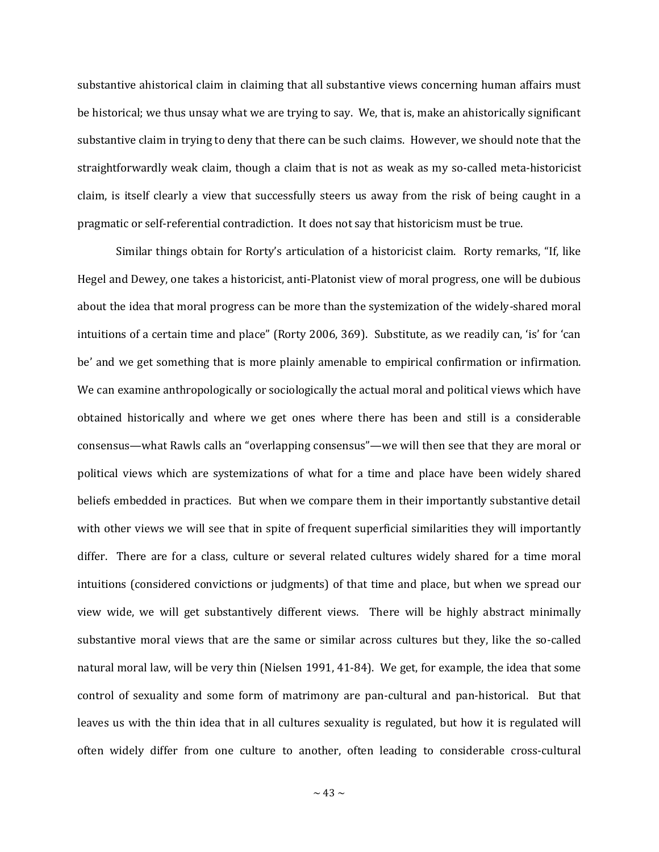substantive ahistorical claim in claiming that all substantive views concerning human affairs must be historical; we thus unsay what we are trying to say. We, that is, make an ahistorically significant substantive claim in trying to deny that there can be such claims. However, we should note that the straightforwardly weak claim, though a claim that is not as weak as my so-called meta-historicist claim, is itself clearly a view that successfully steers us away from the risk of being caught in a pragmatic or self-referential contradiction. It does not say that historicism must be true.

Similar things obtain for Rorty's articulation of a historicist claim. Rorty remarks, "If, like Hegel and Dewey, one takes a historicist, anti-Platonist view of moral progress, one will be dubious about the idea that moral progress can be more than the systemization of the widely-shared moral intuitions of a certain time and place" (Rorty 2006, 369). Substitute, as we readily can, 'is' for 'can be' and we get something that is more plainly amenable to empirical confirmation or infirmation. We can examine anthropologically or sociologically the actual moral and political views which have obtained historically and where we get ones where there has been and still is a considerable consensus—what Rawls calls an "overlapping consensus"—we will then see that they are moral or political views which are systemizations of what for a time and place have been widely shared beliefs embedded in practices. But when we compare them in their importantly substantive detail with other views we will see that in spite of frequent superficial similarities they will importantly differ. There are for a class, culture or several related cultures widely shared for a time moral intuitions (considered convictions or judgments) of that time and place, but when we spread our view wide, we will get substantively different views. There will be highly abstract minimally substantive moral views that are the same or similar across cultures but they, like the so-called natural moral law, will be very thin (Nielsen 1991, 41-84). We get, for example, the idea that some control of sexuality and some form of matrimony are pan-cultural and pan-historical. But that leaves us with the thin idea that in all cultures sexuality is regulated, but how it is regulated will often widely differ from one culture to another, often leading to considerable cross-cultural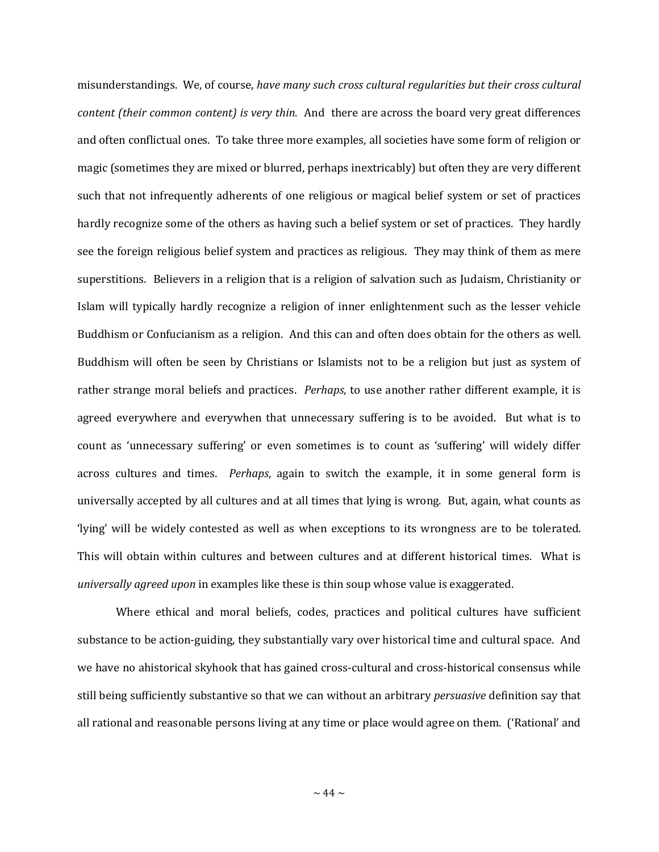misunderstandings. We, of course, *have many such cross cultural regularities but their cross cultural content (their common content) is very thin.* And there are across the board very great differences and often conflictual ones. To take three more examples, all societies have some form of religion or magic (sometimes they are mixed or blurred, perhaps inextricably) but often they are very different such that not infrequently adherents of one religious or magical belief system or set of practices hardly recognize some of the others as having such a belief system or set of practices. They hardly see the foreign religious belief system and practices as religious. They may think of them as mere superstitions. Believers in a religion that is a religion of salvation such as Judaism, Christianity or Islam will typically hardly recognize a religion of inner enlightenment such as the lesser vehicle Buddhism or Confucianism as a religion. And this can and often does obtain for the others as well. Buddhism will often be seen by Christians or Islamists not to be a religion but just as system of rather strange moral beliefs and practices. *Perhaps*, to use another rather different example, it is agreed everywhere and everywhen that unnecessary suffering is to be avoided. But what is to count as 'unnecessary suffering' or even sometimes is to count as 'suffering' will widely differ across cultures and times. *Perhaps*, again to switch the example, it in some general form is universally accepted by all cultures and at all times that lying is wrong. But, again, what counts as 'lying' will be widely contested as well as when exceptions to its wrongness are to be tolerated. This will obtain within cultures and between cultures and at different historical times. What is *universally agreed upon* in examples like these is thin soup whose value is exaggerated.

Where ethical and moral beliefs, codes, practices and political cultures have sufficient substance to be action-guiding, they substantially vary over historical time and cultural space. And we have no ahistorical skyhook that has gained cross-cultural and cross-historical consensus while still being sufficiently substantive so that we can without an arbitrary *persuasive* definition say that all rational and reasonable persons living at any time or place would agree on them. ('Rational' and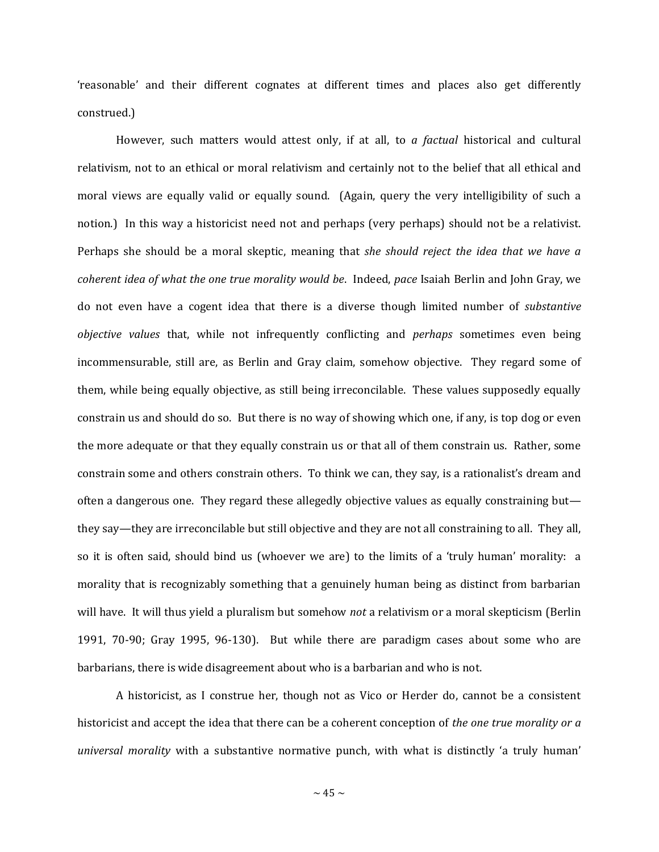'reasonable' and their different cognates at different times and places also get differently construed.)

However, such matters would attest only, if at all, to *a factual* historical and cultural relativism, not to an ethical or moral relativism and certainly not to the belief that all ethical and moral views are equally valid or equally sound. (Again, query the very intelligibility of such a notion.) In this way a historicist need not and perhaps (very perhaps) should not be a relativist. Perhaps she should be a moral skeptic, meaning that *she should reject the idea that we have a coherent idea of what the one true morality would be*. Indeed, *pace* Isaiah Berlin and John Gray, we do not even have a cogent idea that there is a diverse though limited number of *substantive objective values* that, while not infrequently conflicting and *perhaps* sometimes even being incommensurable, still are, as Berlin and Gray claim, somehow objective. They regard some of them, while being equally objective, as still being irreconcilable. These values supposedly equally constrain us and should do so. But there is no way of showing which one, if any, is top dog or even the more adequate or that they equally constrain us or that all of them constrain us. Rather, some constrain some and others constrain others. To think we can, they say, is a rationalist's dream and often a dangerous one. They regard these allegedly objective values as equally constraining but they say—they are irreconcilable but still objective and they are not all constraining to all. They all, so it is often said, should bind us (whoever we are) to the limits of a 'truly human' morality: a morality that is recognizably something that a genuinely human being as distinct from barbarian will have. It will thus yield a pluralism but somehow *not* a relativism or a moral skepticism (Berlin 1991, 70-90; Gray 1995, 96-130). But while there are paradigm cases about some who are barbarians, there is wide disagreement about who is a barbarian and who is not.

A historicist, as I construe her, though not as Vico or Herder do, cannot be a consistent historicist and accept the idea that there can be a coherent conception of *the one true morality or a universal morality* with a substantive normative punch, with what is distinctly 'a truly human'

 $\sim$  45  $\sim$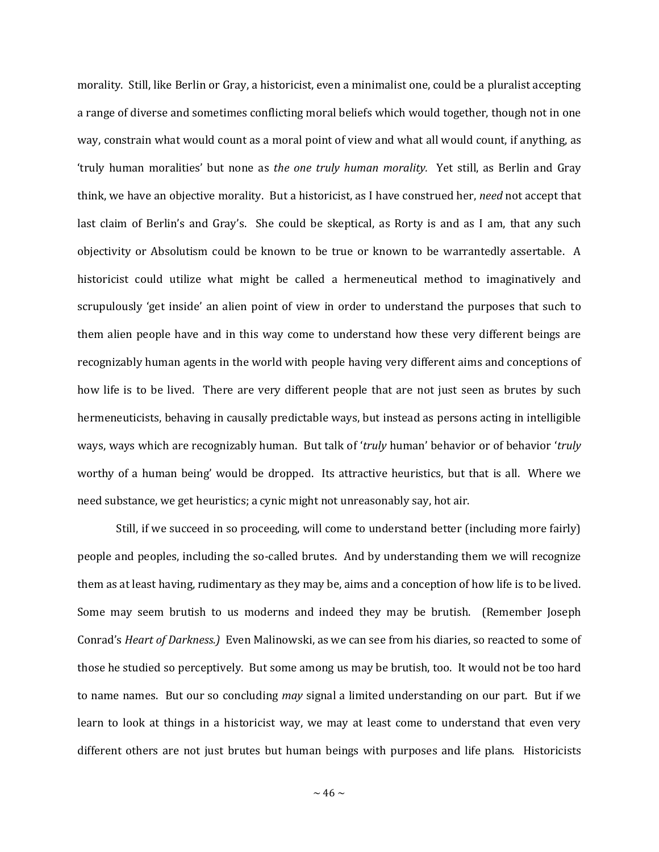morality. Still, like Berlin or Gray, a historicist, even a minimalist one, could be a pluralist accepting a range of diverse and sometimes conflicting moral beliefs which would together, though not in one way, constrain what would count as a moral point of view and what all would count, if anything, as 'truly human moralities' but none as *the one truly human morality.* Yet still, as Berlin and Gray think, we have an objective morality. But a historicist, as I have construed her, *need* not accept that last claim of Berlin's and Gray's. She could be skeptical, as Rorty is and as I am, that any such objectivity or Absolutism could be known to be true or known to be warrantedly assertable. A historicist could utilize what might be called a hermeneutical method to imaginatively and scrupulously 'get inside' an alien point of view in order to understand the purposes that such to them alien people have and in this way come to understand how these very different beings are recognizably human agents in the world with people having very different aims and conceptions of how life is to be lived. There are very different people that are not just seen as brutes by such hermeneuticists, behaving in causally predictable ways, but instead as persons acting in intelligible ways, ways which are recognizably human. But talk of '*truly* human' behavior or of behavior '*truly* worthy of a human being' would be dropped. Its attractive heuristics, but that is all. Where we need substance, we get heuristics; a cynic might not unreasonably say, hot air.

Still, if we succeed in so proceeding, will come to understand better (including more fairly) people and peoples, including the so-called brutes. And by understanding them we will recognize them as at least having, rudimentary as they may be, aims and a conception of how life is to be lived. Some may seem brutish to us moderns and indeed they may be brutish. (Remember Joseph Conrad's *Heart of Darkness.)* Even Malinowski, as we can see from his diaries, so reacted to some of those he studied so perceptively. But some among us may be brutish, too. It would not be too hard to name names. But our so concluding *may* signal a limited understanding on our part. But if we learn to look at things in a historicist way, we may at least come to understand that even very different others are not just brutes but human beings with purposes and life plans. Historicists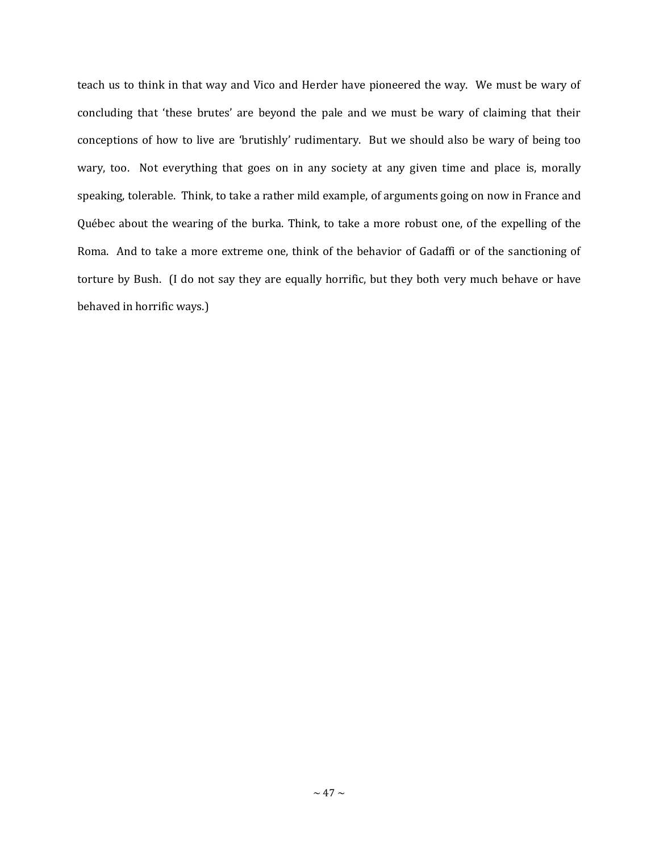teach us to think in that way and Vico and Herder have pioneered the way. We must be wary of concluding that 'these brutes' are beyond the pale and we must be wary of claiming that their conceptions of how to live are 'brutishly' rudimentary. But we should also be wary of being too wary, too. Not everything that goes on in any society at any given time and place is, morally speaking, tolerable. Think, to take a rather mild example, of arguments going on now in France and Québec about the wearing of the burka. Think, to take a more robust one, of the expelling of the Roma. And to take a more extreme one, think of the behavior of Gadaffi or of the sanctioning of torture by Bush. (I do not say they are equally horrific, but they both very much behave or have behaved in horrific ways.)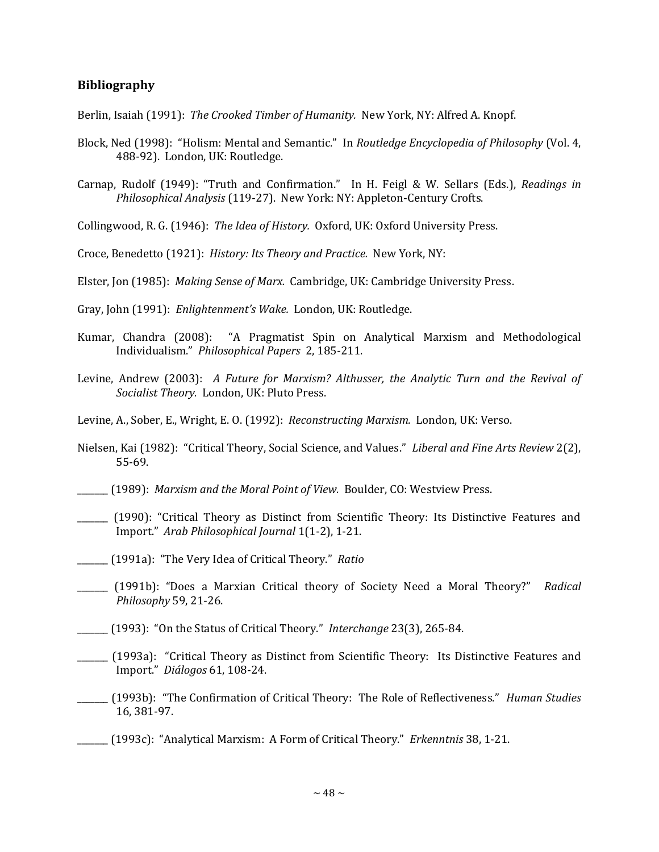## **Bibliography**

Berlin, Isaiah (1991): *The Crooked Timber of Humanity.* New York, NY: Alfred A. Knopf.

- Block, Ned (1998): "Holism: Mental and Semantic." In *Routledge Encyclopedia of Philosophy* (Vol. 4, 488-92). London, UK: Routledge.
- Carnap, Rudolf (1949): "Truth and Confirmation." In H. Feigl & W. Sellars (Eds.), *Readings in Philosophical Analysis* (119-27). New York: NY: Appleton-Century Crofts.
- Collingwood, R. G. (1946): *The Idea of History.* Oxford, UK: Oxford University Press.
- Croce, Benedetto (1921): *History: Its Theory and Practice.* New York, NY:
- Elster, Jon (1985): *Making Sense of Marx.* Cambridge, UK: Cambridge University Press.
- Gray, John (1991): *Enlightenment's Wake.* London, UK: Routledge.
- Kumar, Chandra (2008): "A Pragmatist Spin on Analytical Marxism and Methodological Individualism." *Philosophical Papers* 2, 185-211.
- Levine, Andrew (2003): *A Future for Marxism? Althusser, the Analytic Turn and the Revival of Socialist Theory.* London, UK: Pluto Press.
- Levine, A., Sober, E., Wright, E. O. (1992): *Reconstructing Marxism.* London, UK: Verso.
- Nielsen, Kai (1982): "Critical Theory, Social Science, and Values." *Liberal and Fine Arts Review* 2(2), 55-69.
- \_\_\_\_\_\_\_ (1989): *Marxism and the Moral Point of View.* Boulder, CO: Westview Press.
- \_\_\_\_\_\_\_ (1990): "Critical Theory as Distinct from Scientific Theory: Its Distinctive Features and Import." *Arab Philosophical Journal* 1(1-2), 1-21.
- \_\_\_\_\_\_\_ (1991a): "The Very Idea of Critical Theory." *Ratio*
- \_\_\_\_\_\_\_ (1991b): "Does a Marxian Critical theory of Society Need a Moral Theory?" *Radical Philosophy* 59, 21-26.
- \_\_\_\_\_\_\_ (1993): "On the Status of Critical Theory." *Interchange* 23(3), 265-84.
- \_\_\_\_\_\_\_ (1993a): "Critical Theory as Distinct from Scientific Theory: Its Distinctive Features and Import." *Diálogos* 61, 108-24.
- \_\_\_\_\_\_\_ (1993b): "The Confirmation of Critical Theory: The Role of Reflectiveness." *Human Studies* 16, 381-97.
- \_\_\_\_\_\_\_ (1993c): "Analytical Marxism: A Form of Critical Theory." *Erkenntnis* 38, 1-21.